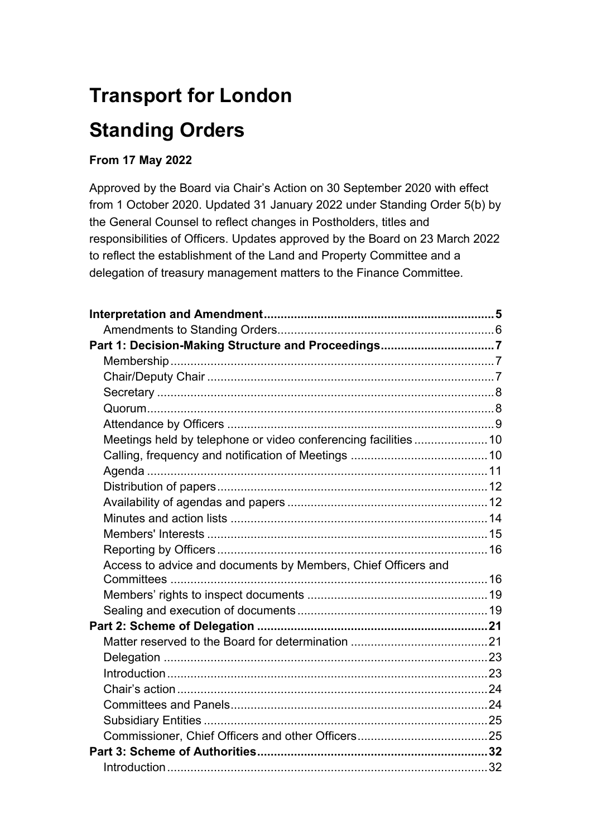# **Transport for London Standing Orders**

# **From 17 May 2022**

Approved by the Board via Chair's Action on 30 September 2020 with effect from 1 October 2020. Updated 31 January 2022 under Standing Order 5(b) by the General Counsel to reflect changes in Postholders, titles and responsibilities of Officers. Updates approved by the Board on 23 March 2022 to reflect the establishment of the Land and Property Committee and a delegation of treasury management matters to the Finance Committee.

| Part 1: Decision-Making Structure and Proceedings7              |  |
|-----------------------------------------------------------------|--|
|                                                                 |  |
|                                                                 |  |
|                                                                 |  |
|                                                                 |  |
|                                                                 |  |
| Meetings held by telephone or video conferencing facilities  10 |  |
|                                                                 |  |
|                                                                 |  |
|                                                                 |  |
|                                                                 |  |
|                                                                 |  |
|                                                                 |  |
|                                                                 |  |
| Access to advice and documents by Members, Chief Officers and   |  |
|                                                                 |  |
|                                                                 |  |
|                                                                 |  |
|                                                                 |  |
|                                                                 |  |
|                                                                 |  |
|                                                                 |  |
|                                                                 |  |
|                                                                 |  |
|                                                                 |  |
|                                                                 |  |
|                                                                 |  |
|                                                                 |  |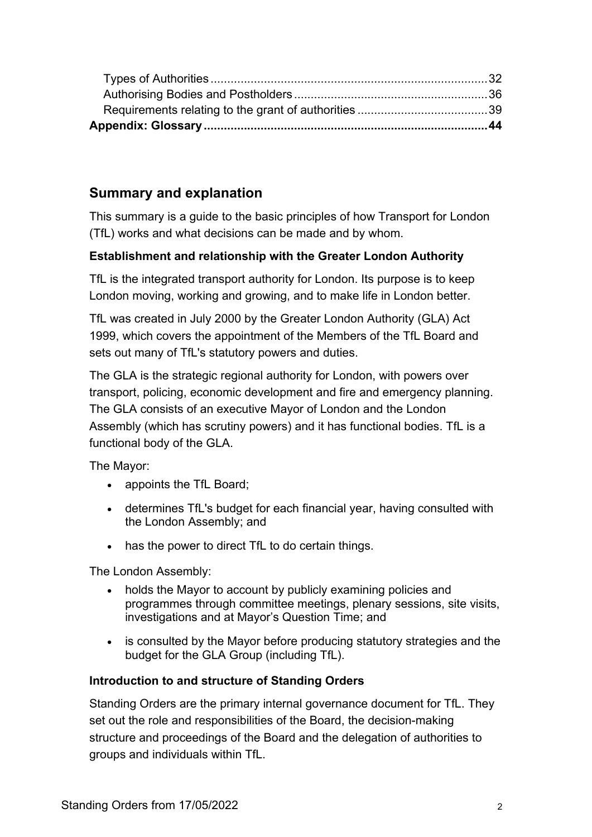# **Summary and explanation**

This summary is a guide to the basic principles of how Transport for London (TfL) works and what decisions can be made and by whom.

# **Establishment and relationship with the Greater London Authority**

TfL is the integrated transport authority for London. Its purpose is to keep London moving, working and growing, and to make life in London better.

TfL was created in July 2000 by the Greater London Authority (GLA) Act 1999, which covers the appointment of the Members of the TfL Board and sets out many of TfL's statutory powers and duties.

The GLA is the strategic regional authority for London, with powers over transport, policing, economic development and fire and emergency planning. The GLA consists of an executive Mayor of London and the London Assembly (which has scrutiny powers) and it has functional bodies. TfL is a functional body of the GLA.

The Mayor:

- appoints the TfL Board;
- determines TfL's budget for each financial year, having consulted with the London Assembly; and
- has the power to direct TfL to do certain things.

The London Assembly:

- holds the Mayor to account by publicly examining policies and programmes through committee meetings, plenary sessions, site visits, investigations and at Mayor's Question Time; and
- is consulted by the Mayor before producing statutory strategies and the budget for the GLA Group (including TfL).

# **Introduction to and structure of Standing Orders**

Standing Orders are the primary internal governance document for TfL. They set out the role and responsibilities of the Board, the decision-making structure and proceedings of the Board and the delegation of authorities to groups and individuals within TfL.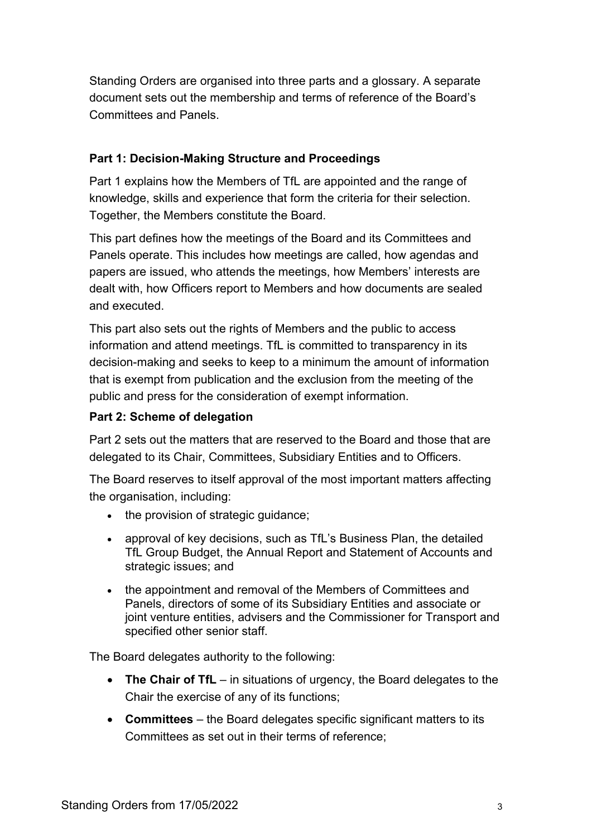Standing Orders are organised into three parts and a glossary. A separate document sets out the membership and terms of reference of the Board's Committees and Panels.

#### **Part 1: Decision-Making Structure and Proceedings**

Part 1 explains how the Members of TfL are appointed and the range of knowledge, skills and experience that form the criteria for their selection. Together, the Members constitute the Board.

This part defines how the meetings of the Board and its Committees and Panels operate. This includes how meetings are called, how agendas and papers are issued, who attends the meetings, how Members' interests are dealt with, how Officers report to Members and how documents are sealed and executed.

This part also sets out the rights of Members and the public to access information and attend meetings. TfL is committed to transparency in its decision-making and seeks to keep to a minimum the amount of information that is exempt from publication and the exclusion from the meeting of the public and press for the consideration of exempt information.

## **Part 2: Scheme of delegation**

Part 2 sets out the matters that are reserved to the Board and those that are delegated to its Chair, Committees, Subsidiary Entities and to Officers.

The Board reserves to itself approval of the most important matters affecting the organisation, including:

- the provision of strategic guidance;
- approval of key decisions, such as TfL's Business Plan, the detailed TfL Group Budget, the Annual Report and Statement of Accounts and strategic issues; and
- the appointment and removal of the Members of Committees and Panels, directors of some of its Subsidiary Entities and associate or joint venture entities, advisers and the Commissioner for Transport and specified other senior staff.

The Board delegates authority to the following:

- **The Chair of TfL** in situations of urgency, the Board delegates to the Chair the exercise of any of its functions;
- **Committees**  the Board delegates specific significant matters to its Committees as set out in their terms of reference;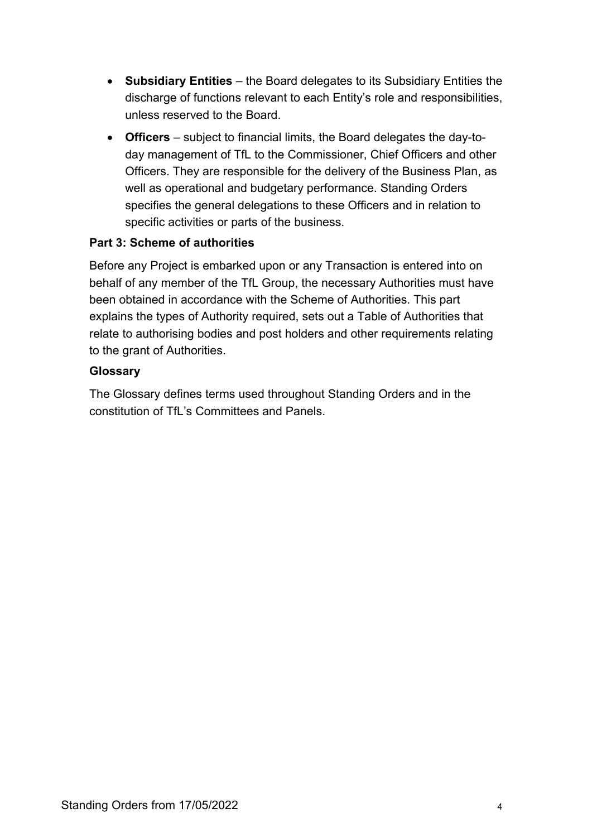- **Subsidiary Entities** the Board delegates to its Subsidiary Entities the discharge of functions relevant to each Entity's role and responsibilities, unless reserved to the Board.
- **Officers**  subject to financial limits, the Board delegates the day-today management of TfL to the Commissioner, Chief Officers and other Officers. They are responsible for the delivery of the Business Plan, as well as operational and budgetary performance. Standing Orders specifies the general delegations to these Officers and in relation to specific activities or parts of the business.

# **Part 3: Scheme of authorities**

Before any Project is embarked upon or any Transaction is entered into on behalf of any member of the TfL Group, the necessary Authorities must have been obtained in accordance with the Scheme of Authorities. This part explains the types of Authority required, sets out a Table of Authorities that relate to authorising bodies and post holders and other requirements relating to the grant of Authorities.

#### **Glossary**

The Glossary defines terms used throughout Standing Orders and in the constitution of TfL's Committees and Panels.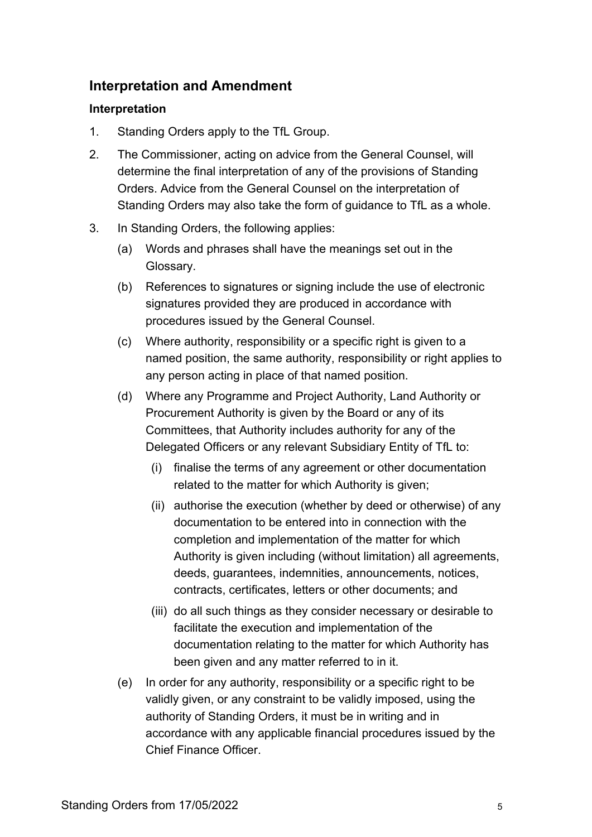# **Interpretation and Amendment**

#### **Interpretation**

- 1. Standing Orders apply to the TfL Group.
- 2. The Commissioner, acting on advice from the General Counsel, will determine the final interpretation of any of the provisions of Standing Orders. Advice from the General Counsel on the interpretation of Standing Orders may also take the form of guidance to TfL as a whole.
- <span id="page-4-0"></span>3. In Standing Orders, the following applies:
	- (a) Words and phrases shall have the meanings set out in the Glossary.
	- (b) References to signatures or signing include the use of electronic signatures provided they are produced in accordance with procedures issued by the General Counsel.
	- (c) Where authority, responsibility or a specific right is given to a named position, the same authority, responsibility or right applies to any person acting in place of that named position.
	- (d) Where any Programme and Project Authority, Land Authority or Procurement Authority is given by the Board or any of its Committees, that Authority includes authority for any of the Delegated Officers or any relevant Subsidiary Entity of TfL to:
		- (i) finalise the terms of any agreement or other documentation related to the matter for which Authority is given;
		- (ii) authorise the execution (whether by deed or otherwise) of any documentation to be entered into in connection with the completion and implementation of the matter for which Authority is given including (without limitation) all agreements, deeds, guarantees, indemnities, announcements, notices, contracts, certificates, letters or other documents; and
		- (iii) do all such things as they consider necessary or desirable to facilitate the execution and implementation of the documentation relating to the matter for which Authority has been given and any matter referred to in it.
	- (e) In order for any authority, responsibility or a specific right to be validly given, or any constraint to be validly imposed, using the authority of Standing Orders, it must be in writing and in accordance with any applicable financial procedures issued by the Chief Finance Officer.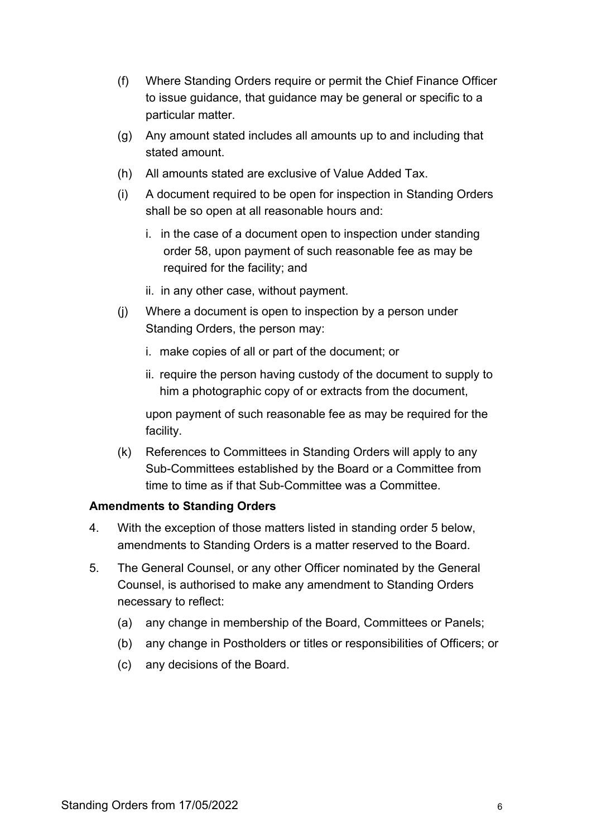- (f) Where Standing Orders require or permit the Chief Finance Officer to issue guidance, that guidance may be general or specific to a particular matter.
- (g) Any amount stated includes all amounts up to and including that stated amount.
- (h) All amounts stated are exclusive of Value Added Tax.
- (i) A document required to be open for inspection in Standing Orders shall be so open at all reasonable hours and:
	- i. in the case of a document open to inspection under standing order [58,](#page-13-0) upon payment of such reasonable fee as may be required for the facility; and
	- ii. in any other case, without payment.
- (j) Where a document is open to inspection by a person under Standing Orders, the person may:
	- i. make copies of all or part of the document; or
	- ii. require the person having custody of the document to supply to him a photographic copy of or extracts from the document,

upon payment of such reasonable fee as may be required for the facility.

(k) References to Committees in Standing Orders will apply to any Sub-Committees established by the Board or a Committee from time to time as if that Sub-Committee was a Committee.

#### **Amendments to Standing Orders**

- 4. With the exception of those matters listed in standing order [5](#page-5-0) below, amendments to Standing Orders is a matter reserved to the Board.
- <span id="page-5-0"></span>5. The General Counsel, or any other Officer nominated by the General Counsel, is authorised to make any amendment to Standing Orders necessary to reflect:
	- (a) any change in membership of the Board, Committees or Panels;
	- (b) any change in Postholders or titles or responsibilities of Officers; or
	- (c) any decisions of the Board.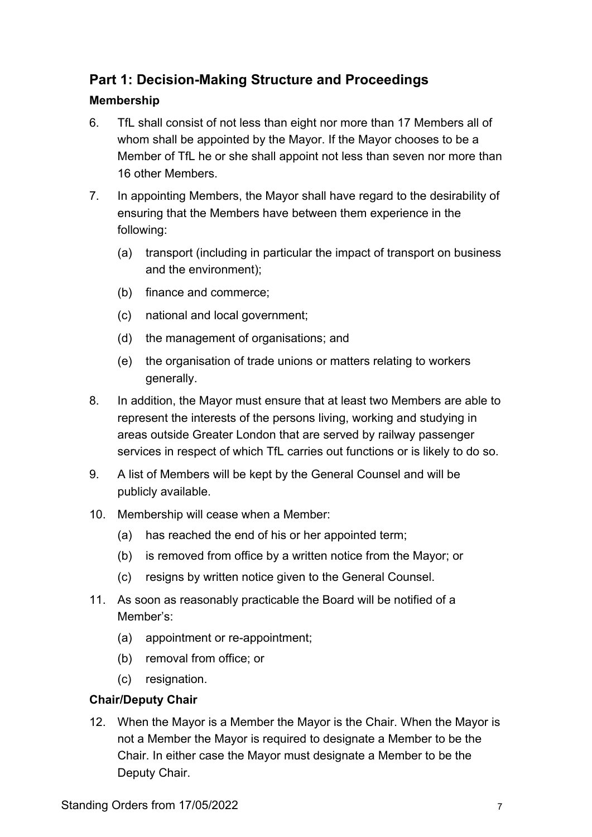# **Part 1: Decision-Making Structure and Proceedings**

# **Membership**

- 6. TfL shall consist of not less than eight nor more than 17 Members all of whom shall be appointed by the Mayor. If the Mayor chooses to be a Member of TfL he or she shall appoint not less than seven nor more than 16 other Members.
- 7. In appointing Members, the Mayor shall have regard to the desirability of ensuring that the Members have between them experience in the following:
	- (a) transport (including in particular the impact of transport on business and the environment);
	- (b) finance and commerce;
	- (c) national and local government;
	- (d) the management of organisations; and
	- (e) the organisation of trade unions or matters relating to workers generally.
- 8. In addition, the Mayor must ensure that at least two Members are able to represent the interests of the persons living, working and studying in areas outside Greater London that are served by railway passenger services in respect of which TfL carries out functions or is likely to do so.
- <span id="page-6-0"></span>9. A list of Members will be kept by the General Counsel and will be publicly available.
- 10. Membership will cease when a Member:
	- (a) has reached the end of his or her appointed term;
	- (b) is removed from office by a written notice from the Mayor; or
	- (c) resigns by written notice given to the General Counsel.
- 11. As soon as reasonably practicable the Board will be notified of a Member's:
	- (a) appointment or re-appointment;
	- (b) removal from office; or
	- (c) resignation.

# **Chair/Deputy Chair**

12. When the Mayor is a Member the Mayor is the Chair. When the Mayor is not a Member the Mayor is required to designate a Member to be the Chair. In either case the Mayor must designate a Member to be the Deputy Chair.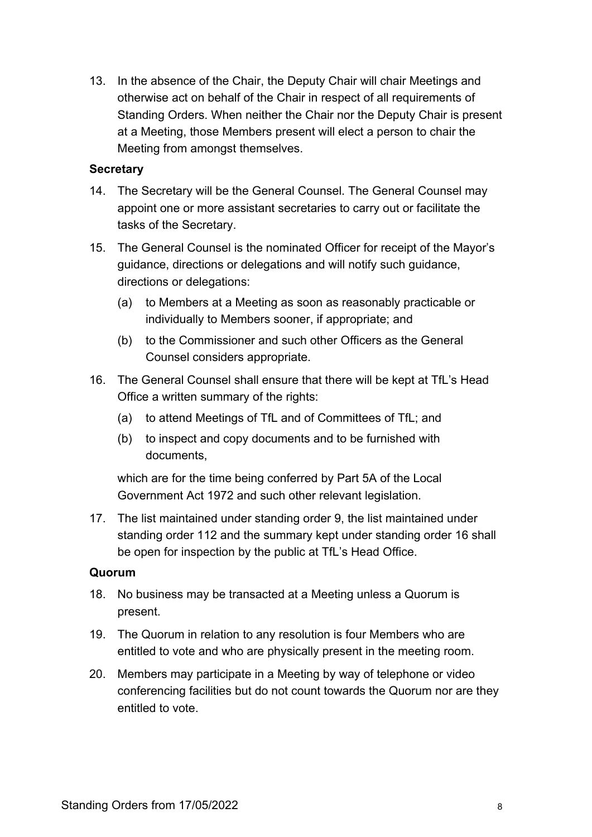13. In the absence of the Chair, the Deputy Chair will chair Meetings and otherwise act on behalf of the Chair in respect of all requirements of Standing Orders. When neither the Chair nor the Deputy Chair is present at a Meeting, those Members present will elect a person to chair the Meeting from amongst themselves.

#### **Secretary**

- 14. The Secretary will be the General Counsel. The General Counsel may appoint one or more assistant secretaries to carry out or facilitate the tasks of the Secretary.
- 15. The General Counsel is the nominated Officer for receipt of the Mayor's guidance, directions or delegations and will notify such guidance, directions or delegations:
	- (a) to Members at a Meeting as soon as reasonably practicable or individually to Members sooner, if appropriate; and
	- (b) to the Commissioner and such other Officers as the General Counsel considers appropriate.
- <span id="page-7-0"></span>16. The General Counsel shall ensure that there will be kept at TfL's Head Office a written summary of the rights:
	- (a) to attend Meetings of TfL and of Committees of TfL; and
	- (b) to inspect and copy documents and to be furnished with documents,

which are for the time being conferred by Part 5A of the Local Government Act 1972 and such other relevant legislation.

17. The list maintained under standing order [9,](#page-6-0) the list maintained under standing order [112](#page-23-0) and the summary kept under standing order [16](#page-7-0) shall be open for inspection by the public at TfL's Head Office.

#### **Quorum**

- 18. No business may be transacted at a Meeting unless a Quorum is present.
- 19. The Quorum in relation to any resolution is four Members who are entitled to vote and who are physically present in the meeting room.
- 20. Members may participate in a Meeting by way of telephone or video conferencing facilities but do not count towards the Quorum nor are they entitled to vote.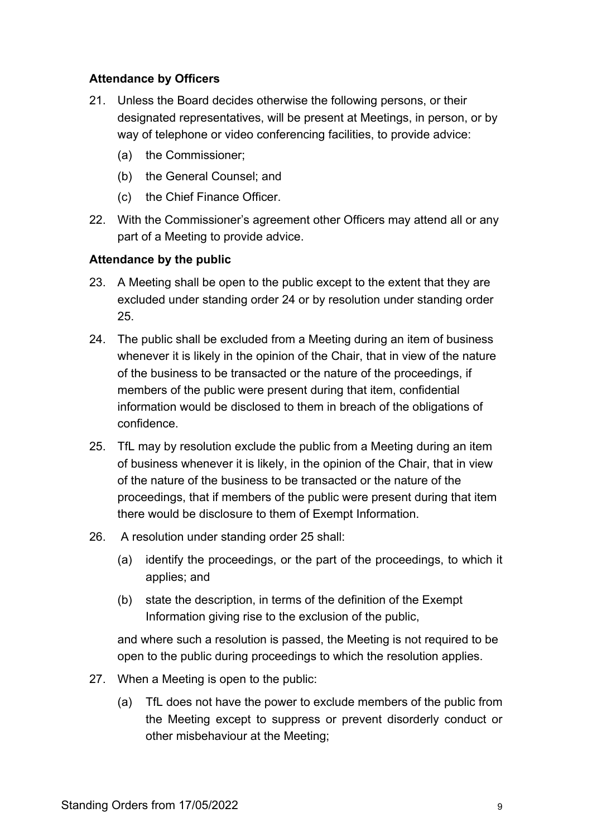## **Attendance by Officers**

- 21. Unless the Board decides otherwise the following persons, or their designated representatives, will be present at Meetings, in person, or by way of telephone or video conferencing facilities, to provide advice:
	- (a) the Commissioner;
	- (b) the General Counsel; and
	- (c) the Chief Finance Officer.
- 22. With the Commissioner's agreement other Officers may attend all or any part of a Meeting to provide advice.

#### **Attendance by the public**

- 23. A Meeting shall be open to the public except to the extent that they are excluded under standing order [24](#page-8-0) or by resolution under standing order [25.](#page-8-1)
- <span id="page-8-0"></span>24. The public shall be excluded from a Meeting during an item of business whenever it is likely in the opinion of the Chair, that in view of the nature of the business to be transacted or the nature of the proceedings, if members of the public were present during that item, confidential information would be disclosed to them in breach of the obligations of confidence.
- <span id="page-8-1"></span>25. TfL may by resolution exclude the public from a Meeting during an item of business whenever it is likely, in the opinion of the Chair, that in view of the nature of the business to be transacted or the nature of the proceedings, that if members of the public were present during that item there would be disclosure to them of Exempt Information.
- 26. A resolution under standing order [25](#page-8-1) shall:
	- (a) identify the proceedings, or the part of the proceedings, to which it applies; and
	- (b) state the description, in terms of the definition of the Exempt Information giving rise to the exclusion of the public,

and where such a resolution is passed, the Meeting is not required to be open to the public during proceedings to which the resolution applies.

- 27. When a Meeting is open to the public:
	- (a) TfL does not have the power to exclude members of the public from the Meeting except to suppress or prevent disorderly conduct or other misbehaviour at the Meeting;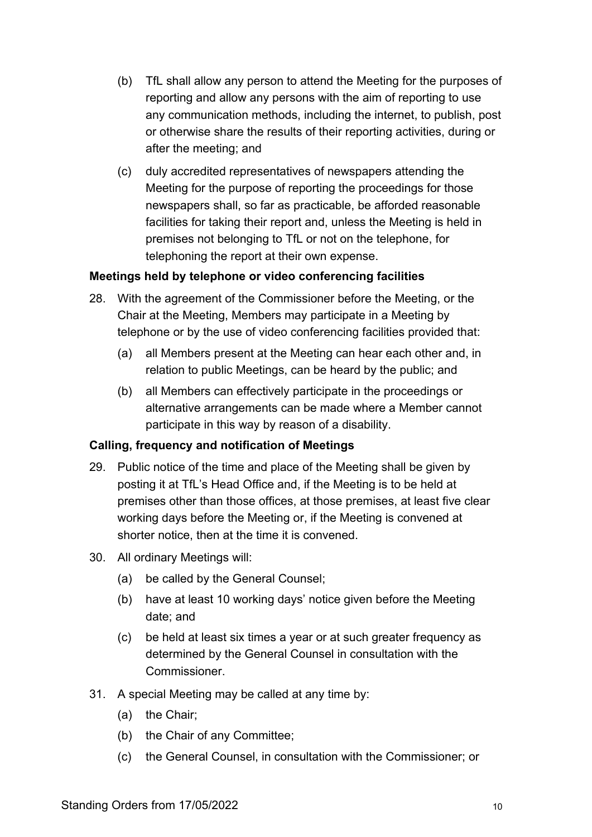- (b) TfL shall allow any person to attend the Meeting for the purposes of reporting and allow any persons with the aim of reporting to use any communication methods, including the internet, to publish, post or otherwise share the results of their reporting activities, during or after the meeting; and
- (c) duly accredited representatives of newspapers attending the Meeting for the purpose of reporting the proceedings for those newspapers shall, so far as practicable, be afforded reasonable facilities for taking their report and, unless the Meeting is held in premises not belonging to TfL or not on the telephone, for telephoning the report at their own expense.

#### **Meetings held by telephone or video conferencing facilities**

- 28. With the agreement of the Commissioner before the Meeting, or the Chair at the Meeting, Members may participate in a Meeting by telephone or by the use of video conferencing facilities provided that:
	- (a) all Members present at the Meeting can hear each other and, in relation to public Meetings, can be heard by the public; and
	- (b) all Members can effectively participate in the proceedings or alternative arrangements can be made where a Member cannot participate in this way by reason of a disability.

#### **Calling, frequency and notification of Meetings**

- 29. Public notice of the time and place of the Meeting shall be given by posting it at TfL's Head Office and, if the Meeting is to be held at premises other than those offices, at those premises, at least five clear working days before the Meeting or, if the Meeting is convened at shorter notice, then at the time it is convened.
- 30. All ordinary Meetings will:
	- (a) be called by the General Counsel;
	- (b) have at least 10 working days' notice given before the Meeting date; and
	- (c) be held at least six times a year or at such greater frequency as determined by the General Counsel in consultation with the Commissioner.
- 31. A special Meeting may be called at any time by:
	- (a) the Chair;
	- (b) the Chair of any Committee;
	- (c) the General Counsel, in consultation with the Commissioner; or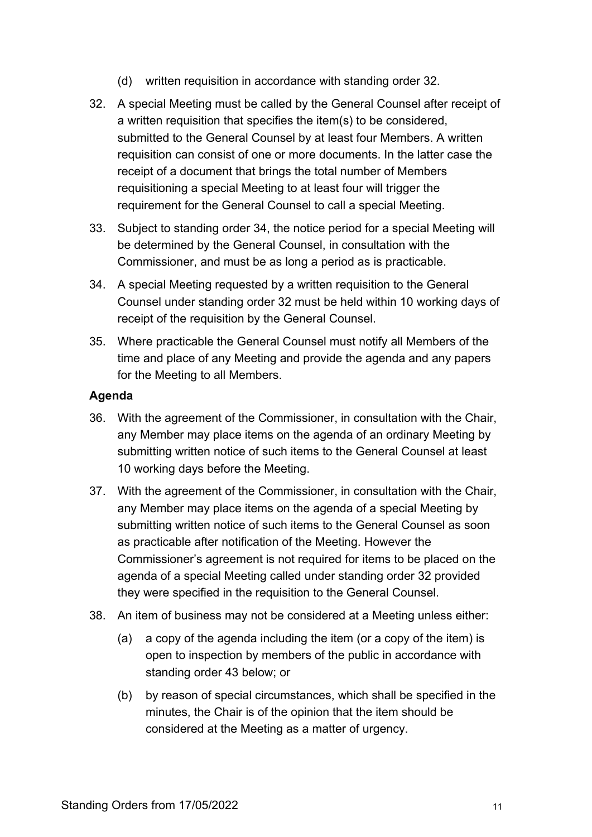- (d) written requisition in accordance with standing order [32.](#page-10-0)
- <span id="page-10-0"></span>32. A special Meeting must be called by the General Counsel after receipt of a written requisition that specifies the item(s) to be considered, submitted to the General Counsel by at least four Members. A written requisition can consist of one or more documents. In the latter case the receipt of a document that brings the total number of Members requisitioning a special Meeting to at least four will trigger the requirement for the General Counsel to call a special Meeting.
- 33. Subject to standing order [34,](#page-10-1) the notice period for a special Meeting will be determined by the General Counsel, in consultation with the Commissioner, and must be as long a period as is practicable.
- <span id="page-10-1"></span>34. A special Meeting requested by a written requisition to the General Counsel under standing order [32](#page-10-0) must be held within 10 working days of receipt of the requisition by the General Counsel.
- 35. Where practicable the General Counsel must notify all Members of the time and place of any Meeting and provide the agenda and any papers for the Meeting to all Members.

#### **Agenda**

- 36. With the agreement of the Commissioner, in consultation with the Chair, any Member may place items on the agenda of an ordinary Meeting by submitting written notice of such items to the General Counsel at least 10 working days before the Meeting.
- 37. With the agreement of the Commissioner, in consultation with the Chair, any Member may place items on the agenda of a special Meeting by submitting written notice of such items to the General Counsel as soon as practicable after notification of the Meeting. However the Commissioner's agreement is not required for items to be placed on the agenda of a special Meeting called under standing order [32](#page-10-0) provided they were specified in the requisition to the General Counsel.
- 38. An item of business may not be considered at a Meeting unless either:
	- (a) a copy of the agenda including the item (or a copy of the item) is open to inspection by members of the public in accordance with standing order [43](#page-11-0) below; or
	- (b) by reason of special circumstances, which shall be specified in the minutes, the Chair is of the opinion that the item should be considered at the Meeting as a matter of urgency.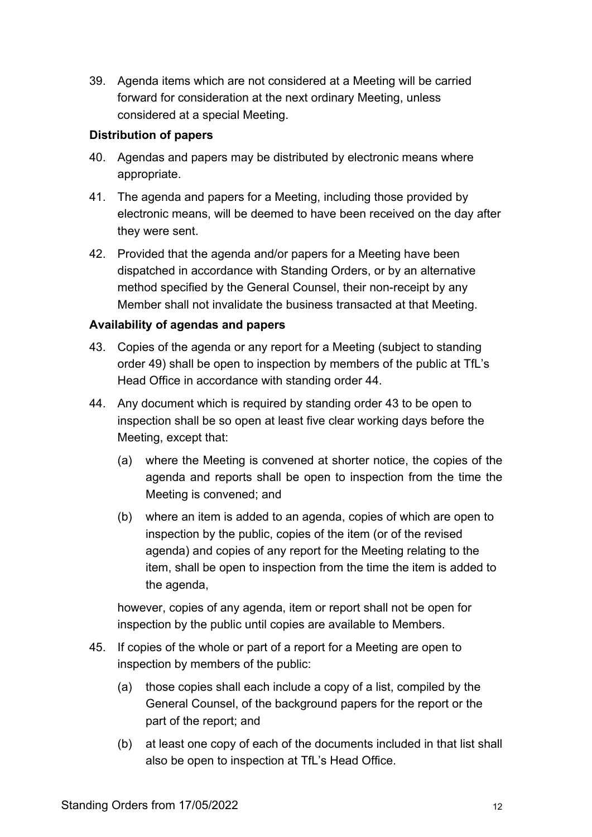39. Agenda items which are not considered at a Meeting will be carried forward for consideration at the next ordinary Meeting, unless considered at a special Meeting.

#### **Distribution of papers**

- 40. Agendas and papers may be distributed by electronic means where appropriate.
- 41. The agenda and papers for a Meeting, including those provided by electronic means, will be deemed to have been received on the day after they were sent.
- 42. Provided that the agenda and/or papers for a Meeting have been dispatched in accordance with Standing Orders, or by an alternative method specified by the General Counsel, their non-receipt by any Member shall not invalidate the business transacted at that Meeting.

## **Availability of agendas and papers**

- <span id="page-11-0"></span>43. Copies of the agenda or any report for a Meeting (subject to standing order [49\)](#page-12-0) shall be open to inspection by members of the public at TfL's Head Office in accordance with standing order [44.](#page-11-1)
- <span id="page-11-1"></span>44. Any document which is required by standing order [43](#page-11-0) to be open to inspection shall be so open at least five clear working days before the Meeting, except that:
	- (a) where the Meeting is convened at shorter notice, the copies of the agenda and reports shall be open to inspection from the time the Meeting is convened; and
	- (b) where an item is added to an agenda, copies of which are open to inspection by the public, copies of the item (or of the revised agenda) and copies of any report for the Meeting relating to the item, shall be open to inspection from the time the item is added to the agenda,

however, copies of any agenda, item or report shall not be open for inspection by the public until copies are available to Members.

- <span id="page-11-2"></span>45. If copies of the whole or part of a report for a Meeting are open to inspection by members of the public:
	- (a) those copies shall each include a copy of a list, compiled by the General Counsel, of the background papers for the report or the part of the report; and
	- (b) at least one copy of each of the documents included in that list shall also be open to inspection at TfL's Head Office.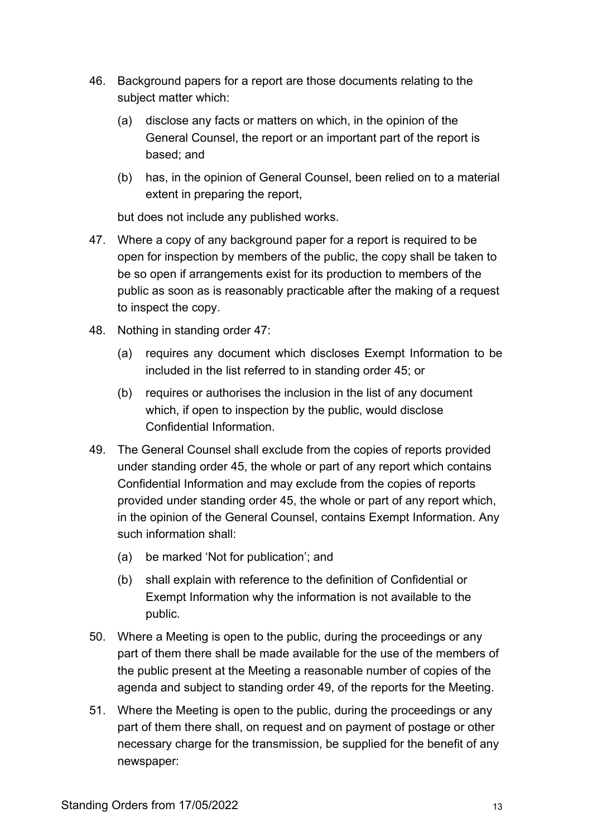- 46. Background papers for a report are those documents relating to the subject matter which:
	- (a) disclose any facts or matters on which, in the opinion of the General Counsel, the report or an important part of the report is based; and
	- (b) has, in the opinion of General Counsel, been relied on to a material extent in preparing the report,

but does not include any published works.

- <span id="page-12-1"></span>47. Where a copy of any background paper for a report is required to be open for inspection by members of the public, the copy shall be taken to be so open if arrangements exist for its production to members of the public as soon as is reasonably practicable after the making of a request to inspect the copy.
- 48. Nothing in standing order [47:](#page-12-1)
	- (a) requires any document which discloses Exempt Information to be included in the list referred to in standing order [45;](#page-11-2) or
	- (b) requires or authorises the inclusion in the list of any document which, if open to inspection by the public, would disclose Confidential Information.
- <span id="page-12-0"></span>49. The General Counsel shall exclude from the copies of reports provided under standing order [45,](#page-11-2) the whole or part of any report which contains Confidential Information and may exclude from the copies of reports provided under standing order [45,](#page-11-2) the whole or part of any report which, in the opinion of the General Counsel, contains Exempt Information. Any such information shall:
	- (a) be marked 'Not for publication'; and
	- (b) shall explain with reference to the definition of Confidential or Exempt Information why the information is not available to the public.
- 50. Where a Meeting is open to the public, during the proceedings or any part of them there shall be made available for the use of the members of the public present at the Meeting a reasonable number of copies of the agenda and subject to standing order [49,](#page-12-0) of the reports for the Meeting.
- 51. Where the Meeting is open to the public, during the proceedings or any part of them there shall, on request and on payment of postage or other necessary charge for the transmission, be supplied for the benefit of any newspaper: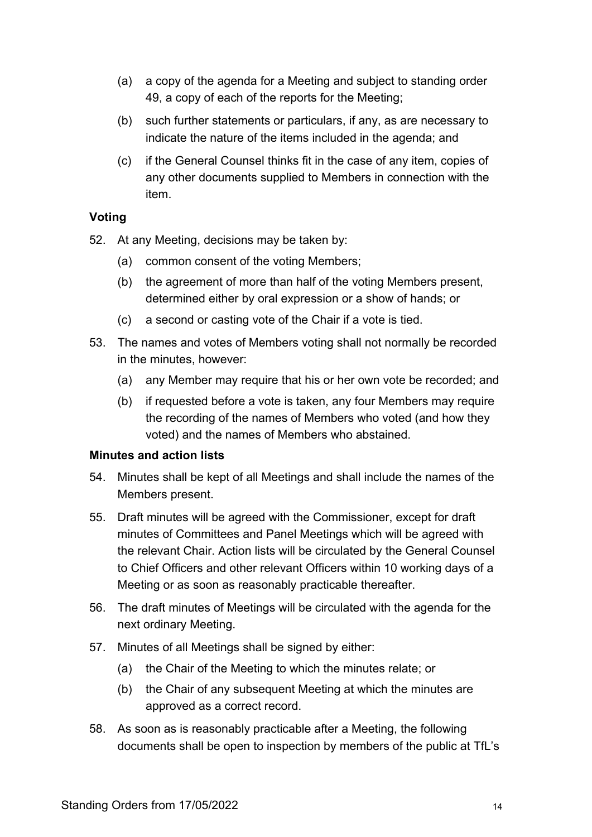- (a) a copy of the agenda for a Meeting and subject to standing order [49,](#page-12-0) a copy of each of the reports for the Meeting;
- (b) such further statements or particulars, if any, as are necessary to indicate the nature of the items included in the agenda; and
- (c) if the General Counsel thinks fit in the case of any item, copies of any other documents supplied to Members in connection with the item.

#### **Voting**

- 52. At any Meeting, decisions may be taken by:
	- (a) common consent of the voting Members;
	- (b) the agreement of more than half of the voting Members present, determined either by oral expression or a show of hands; or
	- (c) a second or casting vote of the Chair if a vote is tied.
- 53. The names and votes of Members voting shall not normally be recorded in the minutes, however:
	- (a) any Member may require that his or her own vote be recorded; and
	- (b) if requested before a vote is taken, any four Members may require the recording of the names of Members who voted (and how they voted) and the names of Members who abstained.

#### **Minutes and action lists**

- 54. Minutes shall be kept of all Meetings and shall include the names of the Members present.
- 55. Draft minutes will be agreed with the Commissioner, except for draft minutes of Committees and Panel Meetings which will be agreed with the relevant Chair. Action lists will be circulated by the General Counsel to Chief Officers and other relevant Officers within 10 working days of a Meeting or as soon as reasonably practicable thereafter.
- 56. The draft minutes of Meetings will be circulated with the agenda for the next ordinary Meeting.
- 57. Minutes of all Meetings shall be signed by either:
	- (a) the Chair of the Meeting to which the minutes relate; or
	- (b) the Chair of any subsequent Meeting at which the minutes are approved as a correct record.
- <span id="page-13-0"></span>58. As soon as is reasonably practicable after a Meeting, the following documents shall be open to inspection by members of the public at TfL's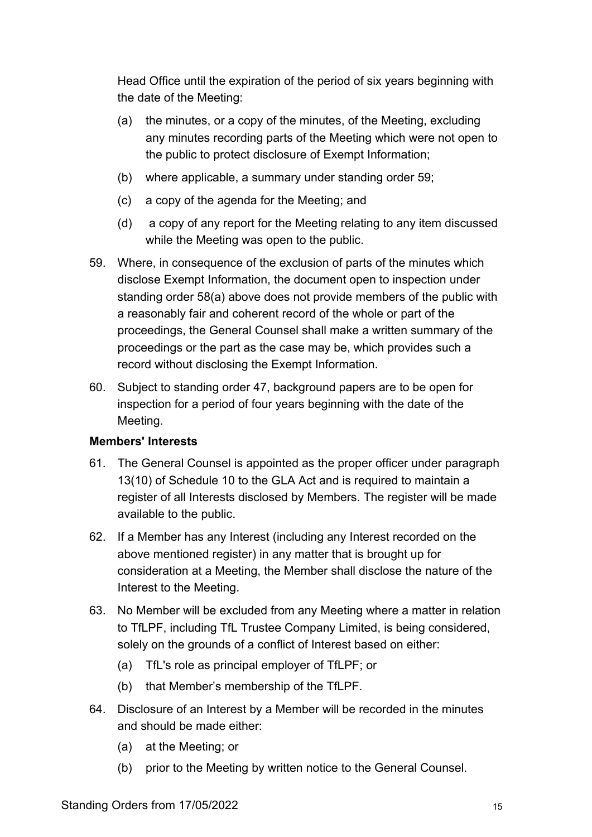Head Office until the expiration of the period of six years beginning with the date of the Meeting:

- <span id="page-14-1"></span>(a) the minutes, or a copy of the minutes, of the Meeting, excluding any minutes recording parts of the Meeting which were not open to the public to protect disclosure of Exempt Information;
- (b) where applicable, a summary under standing order [59;](#page-14-0)
- (c) a copy of the agenda for the Meeting; and
- (d) a copy of any report for the Meeting relating to any item discussed while the Meeting was open to the public.
- <span id="page-14-0"></span>59. Where, in consequence of the exclusion of parts of the minutes which disclose Exempt Information, the document open to inspection under standing order [58](#page-13-0)[\(a\)](#page-14-1) above does not provide members of the public with a reasonably fair and coherent record of the whole or part of the proceedings, the General Counsel shall make a written summary of the proceedings or the part as the case may be, which provides such a record without disclosing the Exempt Information.
- 60. Subject to standing order [47,](#page-12-1) background papers are to be open for inspection for a period of four years beginning with the date of the Meeting.

#### **Members' Interests**

- 61. The General Counsel is appointed as the proper officer under paragraph 13(10) of Schedule 10 to the GLA Act and is required to maintain a register of all Interests disclosed by Members. The register will be made available to the public.
- 62. If a Member has any Interest (including any Interest recorded on the above mentioned register) in any matter that is brought up for consideration at a Meeting, the Member shall disclose the nature of the Interest to the Meeting.
- 63. No Member will be excluded from any Meeting where a matter in relation to TfLPF, including TfL Trustee Company Limited, is being considered, solely on the grounds of a conflict of Interest based on either:
	- (a) TfL's role as principal employer of TfLPF; or
	- (b) that Member's membership of the TfLPF.
- 64. Disclosure of an Interest by a Member will be recorded in the minutes and should be made either:
	- (a) at the Meeting; or
	- (b) prior to the Meeting by written notice to the General Counsel.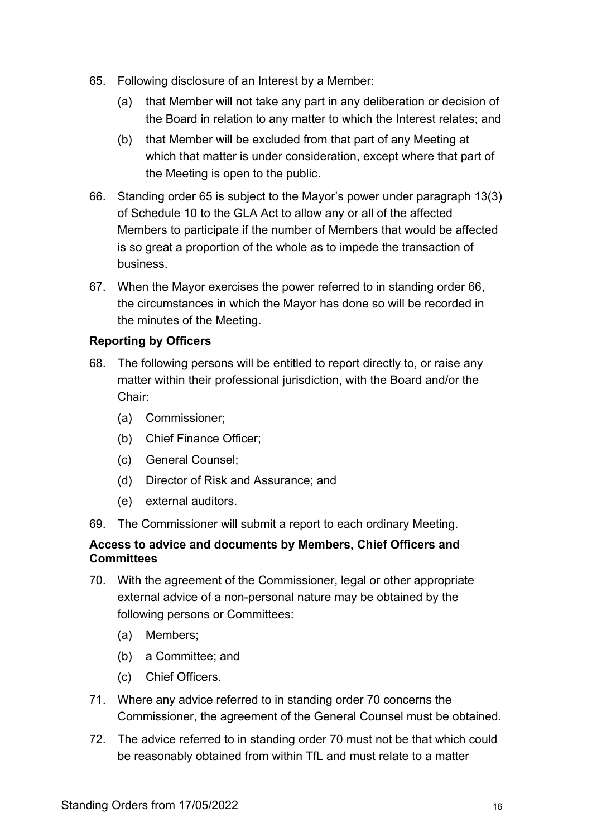- <span id="page-15-0"></span>65. Following disclosure of an Interest by a Member:
	- (a) that Member will not take any part in any deliberation or decision of the Board in relation to any matter to which the Interest relates; and
	- (b) that Member will be excluded from that part of any Meeting at which that matter is under consideration, except where that part of the Meeting is open to the public.
- <span id="page-15-1"></span>66. Standing order [65](#page-15-0) is subject to the Mayor's power under paragraph 13(3) of Schedule 10 to the GLA Act to allow any or all of the affected Members to participate if the number of Members that would be affected is so great a proportion of the whole as to impede the transaction of business.
- 67. When the Mayor exercises the power referred to in standing order [66,](#page-15-1) the circumstances in which the Mayor has done so will be recorded in the minutes of the Meeting.

#### **Reporting by Officers**

- 68. The following persons will be entitled to report directly to, or raise any matter within their professional jurisdiction, with the Board and/or the Chair:
	- (a) Commissioner;
	- (b) Chief Finance Officer;
	- (c) General Counsel;
	- (d) Director of Risk and Assurance; and
	- (e) external auditors.
- 69. The Commissioner will submit a report to each ordinary Meeting.

#### **Access to advice and documents by Members, Chief Officers and Committees**

- <span id="page-15-2"></span>70. With the agreement of the Commissioner, legal or other appropriate external advice of a non-personal nature may be obtained by the following persons or Committees:
	- (a) Members;
	- (b) a Committee; and
	- (c) Chief Officers.
- 71. Where any advice referred to in standing order [70](#page-15-2) concerns the Commissioner, the agreement of the General Counsel must be obtained.
- 72. The advice referred to in standing order [70](#page-15-2) must not be that which could be reasonably obtained from within TfL and must relate to a matter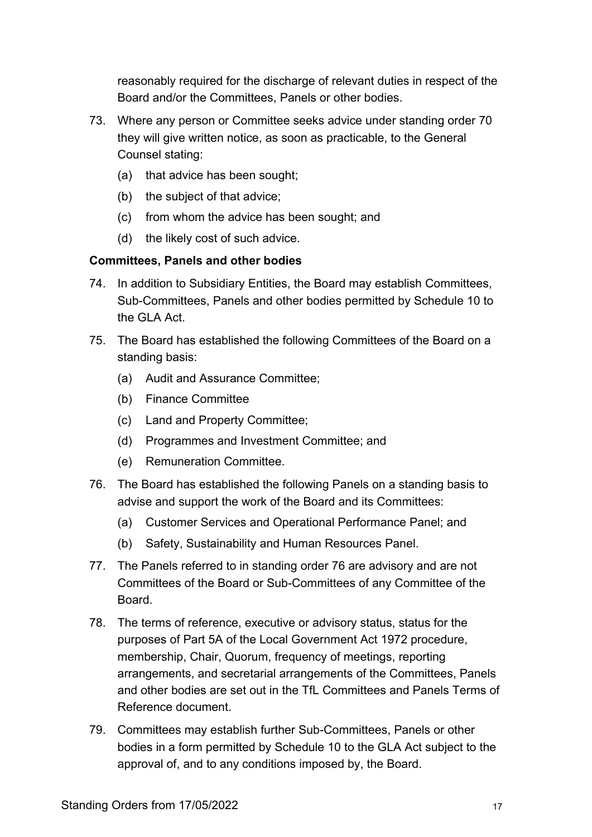reasonably required for the discharge of relevant duties in respect of the Board and/or the Committees, Panels or other bodies.

- 73. Where any person or Committee seeks advice under standing order [70](#page-15-2) they will give written notice, as soon as practicable, to the General Counsel stating:
	- (a) that advice has been sought;
	- (b) the subject of that advice;
	- (c) from whom the advice has been sought; and
	- (d) the likely cost of such advice.

#### **Committees, Panels and other bodies**

- 74. In addition to Subsidiary Entities, the Board may establish Committees, Sub-Committees, Panels and other bodies permitted by Schedule 10 to the GLA Act.
- <span id="page-16-1"></span>75. The Board has established the following Committees of the Board on a standing basis:
	- (a) Audit and Assurance Committee;
	- (b) Finance Committee
	- (c) Land and Property Committee;
	- (d) Programmes and Investment Committee; and
	- (e) Remuneration Committee.
- <span id="page-16-0"></span>76. The Board has established the following Panels on a standing basis to advise and support the work of the Board and its Committees:
	- (a) Customer Services and Operational Performance Panel; and
	- (b) Safety, Sustainability and Human Resources Panel.
- 77. The Panels referred to in standing order [76](#page-16-0) are advisory and are not Committees of the Board or Sub-Committees of any Committee of the **Board**
- 78. The terms of reference, executive or advisory status, status for the purposes of Part 5A of the Local Government Act 1972 procedure, membership, Chair, Quorum, frequency of meetings, reporting arrangements, and secretarial arrangements of the Committees, Panels and other bodies are set out in the TfL Committees and Panels Terms of Reference document.
- 79. Committees may establish further Sub-Committees, Panels or other bodies in a form permitted by Schedule 10 to the GLA Act subject to the approval of, and to any conditions imposed by, the Board.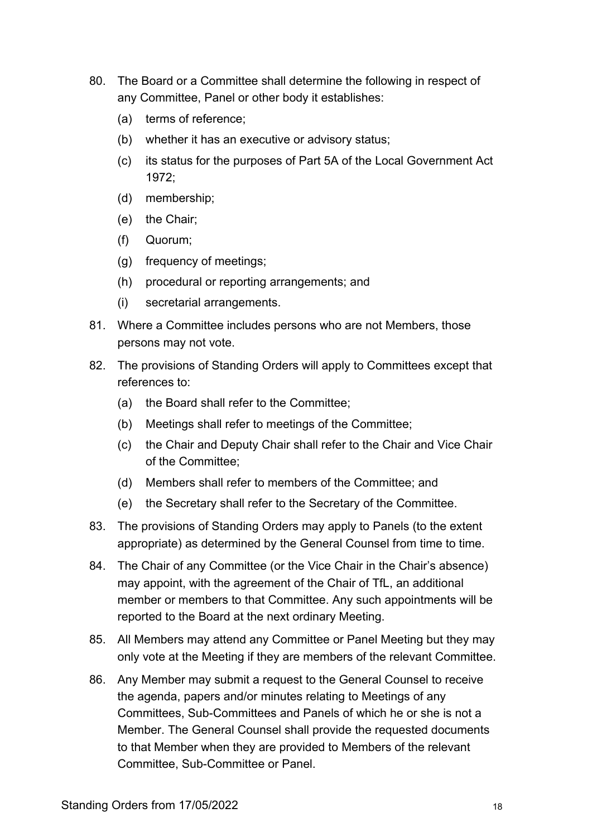- 80. The Board or a Committee shall determine the following in respect of any Committee, Panel or other body it establishes:
	- (a) terms of reference;
	- (b) whether it has an executive or advisory status;
	- (c) its status for the purposes of Part 5A of the Local Government Act 1972;
	- (d) membership;
	- (e) the Chair;
	- (f) Quorum;
	- (g) frequency of meetings;
	- (h) procedural or reporting arrangements; and
	- (i) secretarial arrangements.
- 81. Where a Committee includes persons who are not Members, those persons may not vote.
- 82. The provisions of Standing Orders will apply to Committees except that references to:
	- (a) the Board shall refer to the Committee;
	- (b) Meetings shall refer to meetings of the Committee;
	- (c) the Chair and Deputy Chair shall refer to the Chair and Vice Chair of the Committee;
	- (d) Members shall refer to members of the Committee; and
	- (e) the Secretary shall refer to the Secretary of the Committee.
- 83. The provisions of Standing Orders may apply to Panels (to the extent appropriate) as determined by the General Counsel from time to time.
- <span id="page-17-0"></span>84. The Chair of any Committee (or the Vice Chair in the Chair's absence) may appoint, with the agreement of the Chair of TfL, an additional member or members to that Committee. Any such appointments will be reported to the Board at the next ordinary Meeting.
- 85. All Members may attend any Committee or Panel Meeting but they may only vote at the Meeting if they are members of the relevant Committee.
- 86. Any Member may submit a request to the General Counsel to receive the agenda, papers and/or minutes relating to Meetings of any Committees, Sub-Committees and Panels of which he or she is not a Member. The General Counsel shall provide the requested documents to that Member when they are provided to Members of the relevant Committee, Sub-Committee or Panel.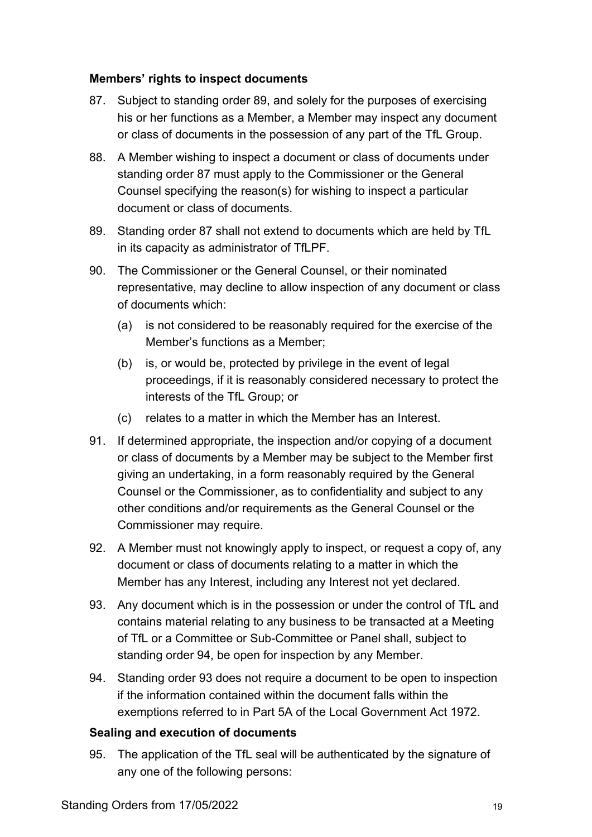#### **Members' rights to inspect documents**

- <span id="page-18-1"></span>87. Subject to standing order [89,](#page-18-0) and solely for the purposes of exercising his or her functions as a Member, a Member may inspect any document or class of documents in the possession of any part of the TfL Group.
- 88. A Member wishing to inspect a document or class of documents under standing order [87](#page-18-1) must apply to the Commissioner or the General Counsel specifying the reason(s) for wishing to inspect a particular document or class of documents.
- <span id="page-18-0"></span>89. Standing order [87](#page-18-1) shall not extend to documents which are held by TfL in its capacity as administrator of TfLPF.
- 90. The Commissioner or the General Counsel, or their nominated representative, may decline to allow inspection of any document or class of documents which:
	- (a) is not considered to be reasonably required for the exercise of the Member's functions as a Member;
	- (b) is, or would be, protected by privilege in the event of legal proceedings, if it is reasonably considered necessary to protect the interests of the TfL Group; or
	- (c) relates to a matter in which the Member has an Interest.
- 91. If determined appropriate, the inspection and/or copying of a document or class of documents by a Member may be subject to the Member first giving an undertaking, in a form reasonably required by the General Counsel or the Commissioner, as to confidentiality and subject to any other conditions and/or requirements as the General Counsel or the Commissioner may require.
- 92. A Member must not knowingly apply to inspect, or request a copy of, any document or class of documents relating to a matter in which the Member has any Interest, including any Interest not yet declared.
- <span id="page-18-3"></span>93. Any document which is in the possession or under the control of TfL and contains material relating to any business to be transacted at a Meeting of TfL or a Committee or Sub-Committee or Panel shall, subject to standing order [94,](#page-18-2) be open for inspection by any Member.
- <span id="page-18-2"></span>94. Standing order [93](#page-18-3) does not require a document to be open to inspection if the information contained within the document falls within the exemptions referred to in Part 5A of the Local Government Act 1972.

#### **Sealing and execution of documents**

95. The application of the TfL seal will be authenticated by the signature of any one of the following persons: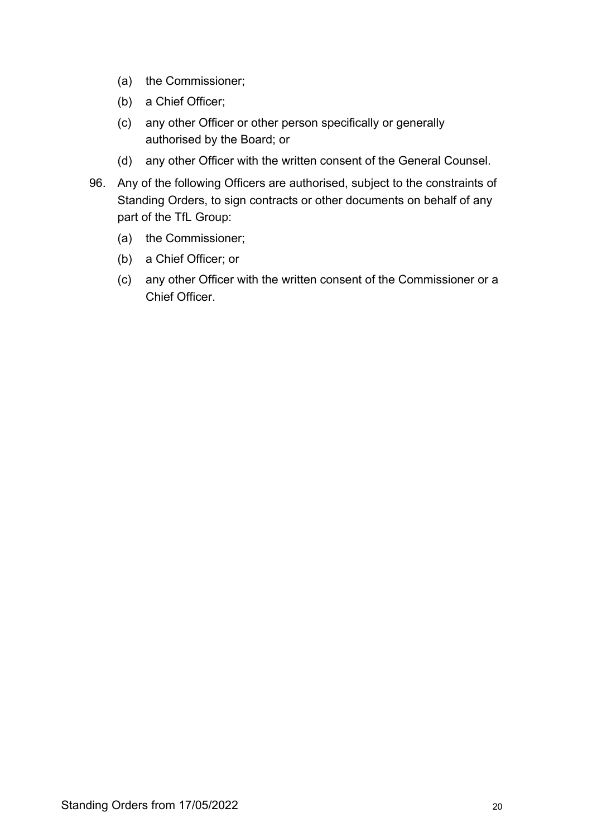- (a) the Commissioner;
- (b) a Chief Officer;
- (c) any other Officer or other person specifically or generally authorised by the Board; or
- (d) any other Officer with the written consent of the General Counsel.
- 96. Any of the following Officers are authorised, subject to the constraints of Standing Orders, to sign contracts or other documents on behalf of any part of the TfL Group:
	- (a) the Commissioner;
	- (b) a Chief Officer; or
	- (c) any other Officer with the written consent of the Commissioner or a Chief Officer.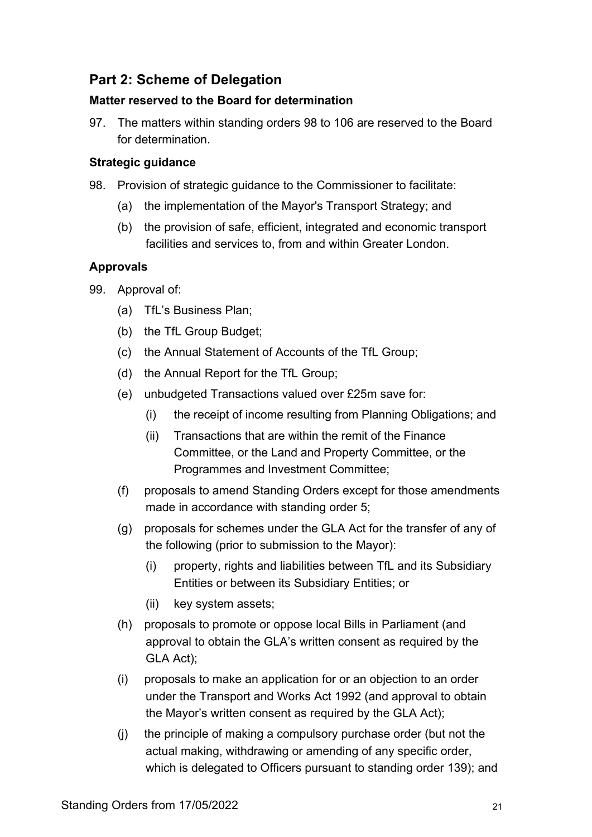# **Part 2: Scheme of Delegation**

#### **Matter reserved to the Board for determination**

97. The matters within standing orders [98](#page-20-0) to [106](#page-22-0) are reserved to the Board for determination.

#### **Strategic guidance**

- <span id="page-20-0"></span>98. Provision of strategic guidance to the Commissioner to facilitate:
	- (a) the implementation of the Mayor's Transport Strategy; and
	- (b) the provision of safe, efficient, integrated and economic transport facilities and services to, from and within Greater London.

## **Approvals**

- <span id="page-20-1"></span>99. Approval of:
	- (a) TfL's Business Plan;
	- (b) the TfL Group Budget;
	- (c) the Annual Statement of Accounts of the TfL Group;
	- (d) the Annual Report for the TfL Group;
	- (e) unbudgeted Transactions valued over £25m save for:
		- (i) the receipt of income resulting from Planning Obligations; and
		- (ii) Transactions that are within the remit of the Finance Committee, or the Land and Property Committee, or the Programmes and Investment Committee;
	- (f) proposals to amend Standing Orders except for those amendments made in accordance with standing order [5;](#page-5-0)
	- (g) proposals for schemes under the GLA Act for the transfer of any of the following (prior to submission to the Mayor):
		- (i) property, rights and liabilities between TfL and its Subsidiary Entities or between its Subsidiary Entities; or
		- (ii) key system assets;
	- (h) proposals to promote or oppose local Bills in Parliament (and approval to obtain the GLA's written consent as required by the GLA Act);
	- (i) proposals to make an application for or an objection to an order under the Transport and Works Act 1992 (and approval to obtain the Mayor's written consent as required by the GLA Act);
	- (j) the principle of making a compulsory purchase order (but not the actual making, withdrawing or amending of any specific order, which is delegated to Officers pursuant to standing order [139\)](#page-29-0); and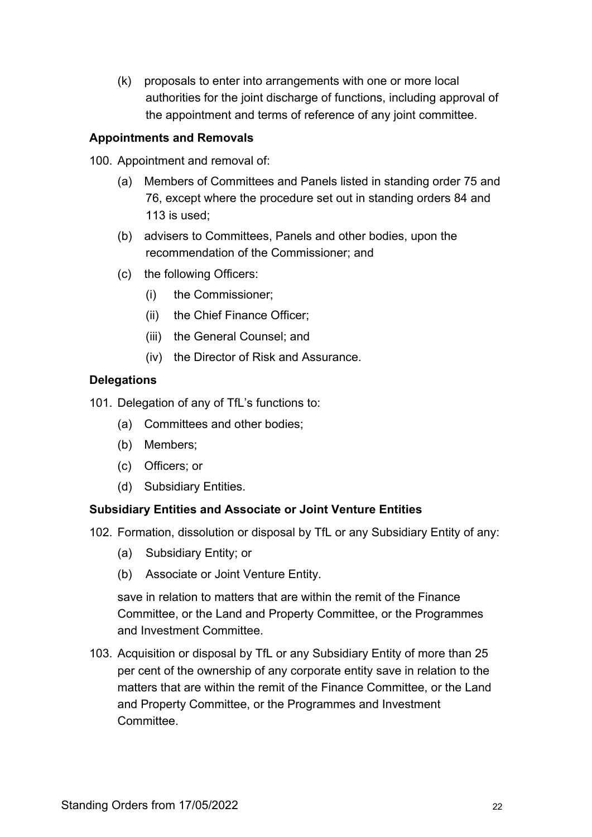(k) proposals to enter into arrangements with one or more local authorities for the joint discharge of functions, including approval of the appointment and terms of reference of any joint committee.

#### **Appointments and Removals**

100. Appointment and removal of:

- (a) Members of Committees and Panels listed in standing order [75](#page-16-1) and [76,](#page-16-0) except where the procedure set out in standing orders [84](#page-17-0) and [113](#page-23-1) is used;
- (b) advisers to Committees, Panels and other bodies, upon the recommendation of the Commissioner; and
- (c) the following Officers:
	- (i) the Commissioner;
	- (ii) the Chief Finance Officer;
	- (iii) the General Counsel; and
	- (iv) the Director of Risk and Assurance.

#### **Delegations**

101. Delegation of any of TfL's functions to:

- (a) Committees and other bodies;
- (b) Members;
- (c) Officers; or
- (d) Subsidiary Entities.

#### **Subsidiary Entities and Associate or Joint Venture Entities**

- 102. Formation, dissolution or disposal by TfL or any Subsidiary Entity of any:
	- (a) Subsidiary Entity; or
	- (b) Associate or Joint Venture Entity.

save in relation to matters that are within the remit of the Finance Committee, or the Land and Property Committee, or the Programmes and Investment Committee.

103. Acquisition or disposal by TfL or any Subsidiary Entity of more than 25 per cent of the ownership of any corporate entity save in relation to the matters that are within the remit of the Finance Committee, or the Land and Property Committee, or the Programmes and Investment Committee.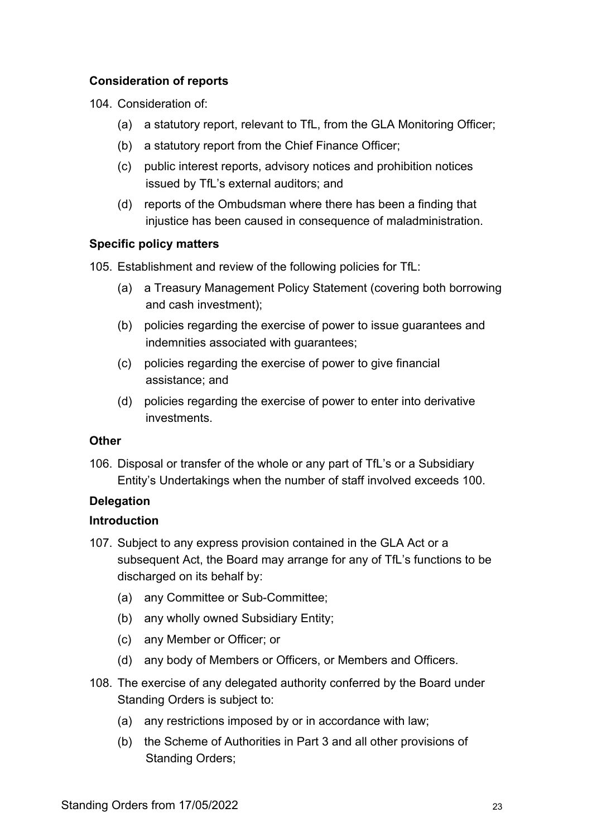#### **Consideration of reports**

104. Consideration of:

- (a) a statutory report, relevant to TfL, from the GLA Monitoring Officer;
- (b) a statutory report from the Chief Finance Officer;
- (c) public interest reports, advisory notices and prohibition notices issued by TfL's external auditors; and
- (d) reports of the Ombudsman where there has been a finding that injustice has been caused in consequence of maladministration.

## **Specific policy matters**

105. Establishment and review of the following policies for TfL:

- (a) a Treasury Management Policy Statement (covering both borrowing and cash investment);
- (b) policies regarding the exercise of power to issue guarantees and indemnities associated with guarantees;
- (c) policies regarding the exercise of power to give financial assistance; and
- (d) policies regarding the exercise of power to enter into derivative investments.

#### **Other**

<span id="page-22-0"></span>106. Disposal or transfer of the whole or any part of TfL's or a Subsidiary Entity's Undertakings when the number of staff involved exceeds 100.

# **Delegation**

# **Introduction**

- 107. Subject to any express provision contained in the GLA Act or a subsequent Act, the Board may arrange for any of TfL's functions to be discharged on its behalf by:
	- (a) any Committee or Sub-Committee;
	- (b) any wholly owned Subsidiary Entity;
	- (c) any Member or Officer; or
	- (d) any body of Members or Officers, or Members and Officers.
- 108. The exercise of any delegated authority conferred by the Board under Standing Orders is subject to:
	- (a) any restrictions imposed by or in accordance with law;
	- (b) the Scheme of Authorities in Part 3 and all other provisions of Standing Orders;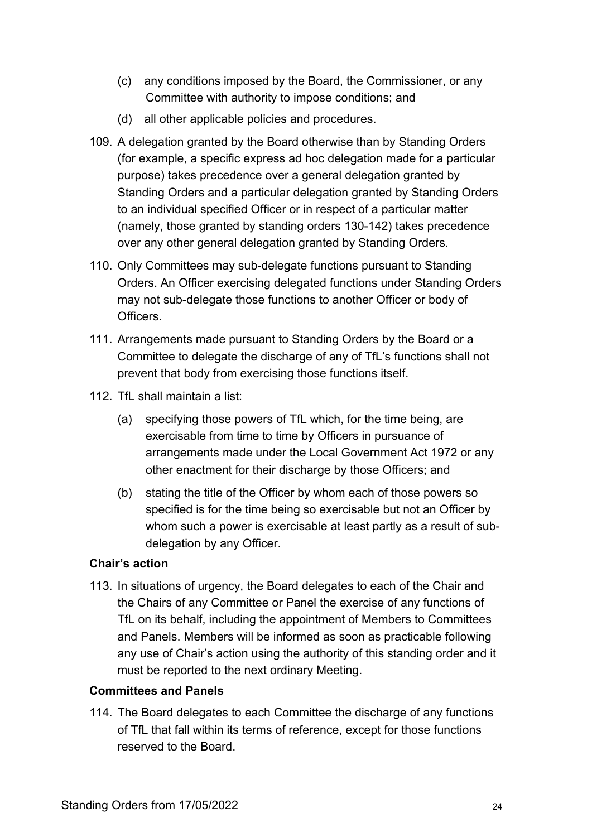- (c) any conditions imposed by the Board, the Commissioner, or any Committee with authority to impose conditions; and
- (d) all other applicable policies and procedures.
- 109. A delegation granted by the Board otherwise than by Standing Orders (for example, a specific express ad hoc delegation made for a particular purpose) takes precedence over a general delegation granted by Standing Orders and a particular delegation granted by Standing Orders to an individual specified Officer or in respect of a particular matter (namely, those granted by standing orders [130-](#page-26-0)[142\)](#page-30-0) takes precedence over any other general delegation granted by Standing Orders.
- 110. Only Committees may sub-delegate functions pursuant to Standing Orders. An Officer exercising delegated functions under Standing Orders may not sub-delegate those functions to another Officer or body of **Officers**
- 111. Arrangements made pursuant to Standing Orders by the Board or a Committee to delegate the discharge of any of TfL's functions shall not prevent that body from exercising those functions itself.
- <span id="page-23-0"></span>112. TfL shall maintain a list:
	- (a) specifying those powers of TfL which, for the time being, are exercisable from time to time by Officers in pursuance of arrangements made under the Local Government Act 1972 or any other enactment for their discharge by those Officers; and
	- (b) stating the title of the Officer by whom each of those powers so specified is for the time being so exercisable but not an Officer by whom such a power is exercisable at least partly as a result of subdelegation by any Officer.

#### **Chair's action**

<span id="page-23-1"></span>113. In situations of urgency, the Board delegates to each of the Chair and the Chairs of any Committee or Panel the exercise of any functions of TfL on its behalf, including the appointment of Members to Committees and Panels. Members will be informed as soon as practicable following any use of Chair's action using the authority of this standing order and it must be reported to the next ordinary Meeting.

#### **Committees and Panels**

114. The Board delegates to each Committee the discharge of any functions of TfL that fall within its terms of reference, except for those functions reserved to the Board.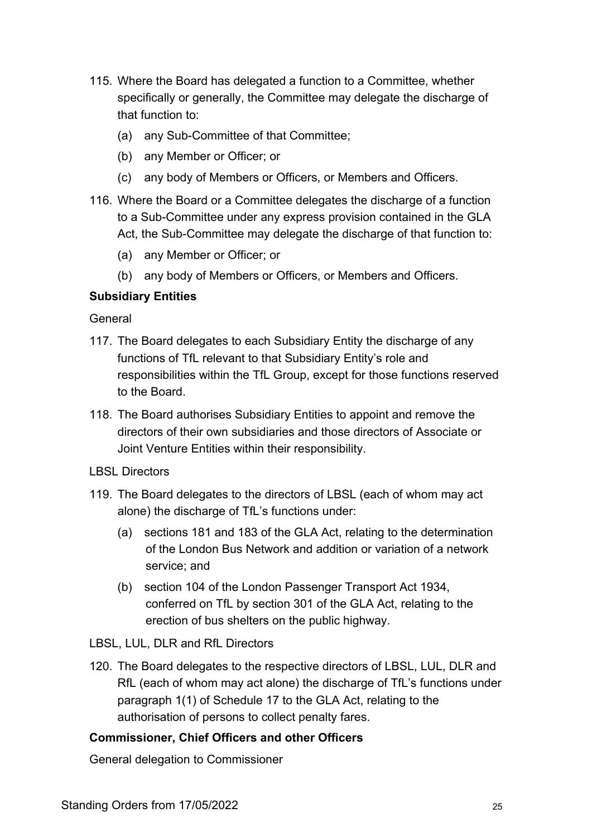- 115. Where the Board has delegated a function to a Committee, whether specifically or generally, the Committee may delegate the discharge of that function to:
	- (a) any Sub-Committee of that Committee;
	- (b) any Member or Officer; or
	- (c) any body of Members or Officers, or Members and Officers.
- 116. Where the Board or a Committee delegates the discharge of a function to a Sub-Committee under any express provision contained in the GLA Act, the Sub-Committee may delegate the discharge of that function to:
	- (a) any Member or Officer; or
	- (b) any body of Members or Officers, or Members and Officers.

## **Subsidiary Entities**

General

- 117. The Board delegates to each Subsidiary Entity the discharge of any functions of TfL relevant to that Subsidiary Entity's role and responsibilities within the TfL Group, except for those functions reserved to the Board.
- 118. The Board authorises Subsidiary Entities to appoint and remove the directors of their own subsidiaries and those directors of Associate or Joint Venture Entities within their responsibility.
- LBSL Directors
- 119. The Board delegates to the directors of LBSL (each of whom may act alone) the discharge of TfL's functions under:
	- (a) sections 181 and 183 of the GLA Act, relating to the determination of the London Bus Network and addition or variation of a network service; and
	- (b) section 104 of the London Passenger Transport Act 1934, conferred on TfL by section 301 of the GLA Act, relating to the erection of bus shelters on the public highway.
- LBSL, LUL, DLR and RfL Directors
- 120. The Board delegates to the respective directors of LBSL, LUL, DLR and RfL (each of whom may act alone) the discharge of TfL's functions under paragraph 1(1) of Schedule 17 to the GLA Act, relating to the authorisation of persons to collect penalty fares.

# **Commissioner, Chief Officers and other Officers**

General delegation to Commissioner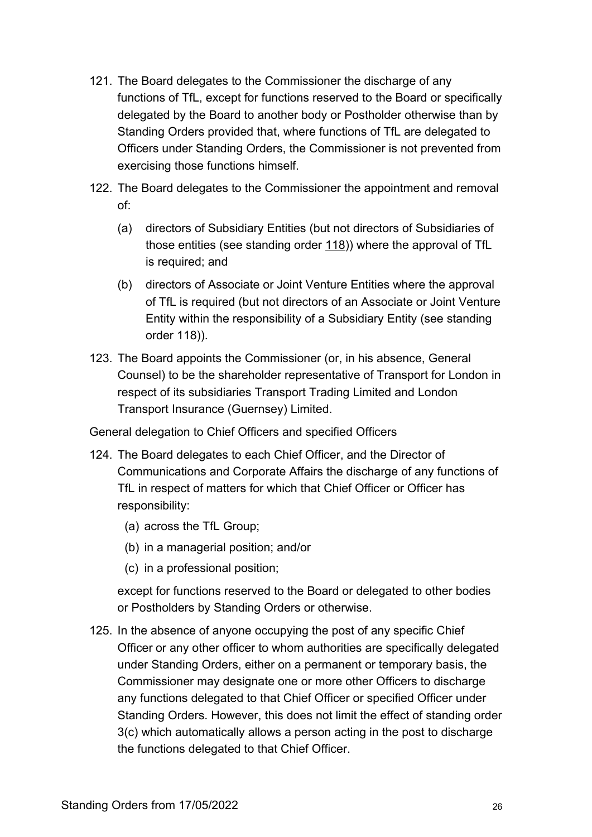- 121. The Board delegates to the Commissioner the discharge of any functions of TfL, except for functions reserved to the Board or specifically delegated by the Board to another body or Postholder otherwise than by Standing Orders provided that, where functions of TfL are delegated to Officers under Standing Orders, the Commissioner is not prevented from exercising those functions himself.
- 122. The Board delegates to the Commissioner the appointment and removal of:
	- (a) directors of Subsidiary Entities (but not directors of Subsidiaries of those entities (see standing order [118\)](#page-22-0)) where the approval of TfL is required; and
	- (b) directors of Associate or Joint Venture Entities where the approval of TfL is required (but not directors of an Associate or Joint Venture Entity within the responsibility of a Subsidiary Entity (see standing order 118)).
- 123. The Board appoints the Commissioner (or, in his absence, General Counsel) to be the shareholder representative of Transport for London in respect of its subsidiaries Transport Trading Limited and London Transport Insurance (Guernsey) Limited.

General delegation to Chief Officers and specified Officers

- <span id="page-25-0"></span>124. The Board delegates to each Chief Officer, and the Director of Communications and Corporate Affairs the discharge of any functions of TfL in respect of matters for which that Chief Officer or Officer has responsibility:
	- (a) across the TfL Group;
	- (b) in a managerial position; and/or
	- (c) in a professional position;

except for functions reserved to the Board or delegated to other bodies or Postholders by Standing Orders or otherwise.

<span id="page-25-1"></span>125. In the absence of anyone occupying the post of any specific Chief Officer or any other officer to whom authorities are specifically delegated under Standing Orders, either on a permanent or temporary basis, the Commissioner may designate one or more other Officers to discharge any functions delegated to that Chief Officer or specified Officer under Standing Orders. However, this does not limit the effect of standing order [3\(c\)](#page-4-0) which automatically allows a person acting in the post to discharge the functions delegated to that Chief Officer.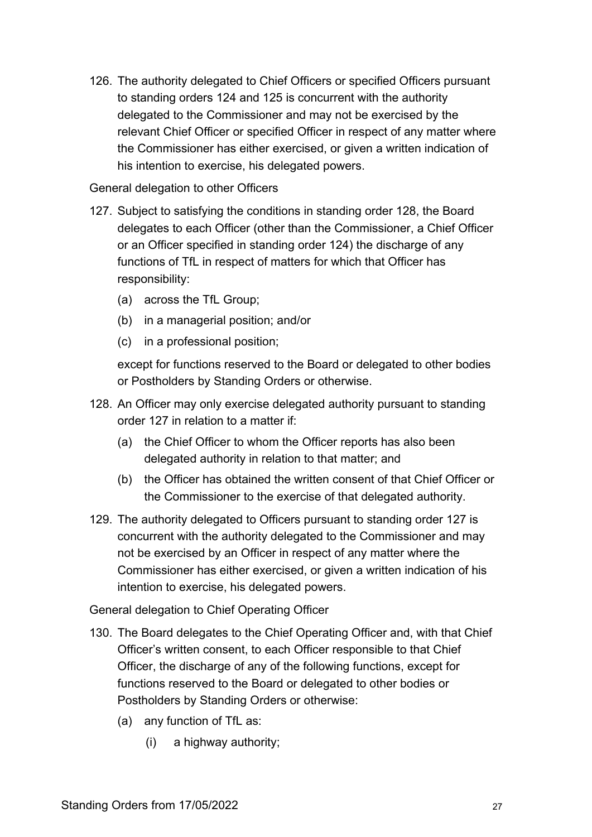126. The authority delegated to Chief Officers or specified Officers pursuant to standing orders [124](#page-25-0) and [125](#page-25-1) is concurrent with the authority delegated to the Commissioner and may not be exercised by the relevant Chief Officer or specified Officer in respect of any matter where the Commissioner has either exercised, or given a written indication of his intention to exercise, his delegated powers.

#### General delegation to other Officers

- <span id="page-26-2"></span>127. Subject to satisfying the conditions in standing order [128,](#page-26-1) the Board delegates to each Officer (other than the Commissioner, a Chief Officer or an Officer specified in standing order 124) the discharge of any functions of TfL in respect of matters for which that Officer has responsibility:
	- (a) across the TfL Group;
	- (b) in a managerial position; and/or
	- (c) in a professional position;

except for functions reserved to the Board or delegated to other bodies or Postholders by Standing Orders or otherwise.

- <span id="page-26-1"></span>128. An Officer may only exercise delegated authority pursuant to standing order [127](#page-26-2) in relation to a matter if:
	- (a) the Chief Officer to whom the Officer reports has also been delegated authority in relation to that matter; and
	- (b) the Officer has obtained the written consent of that Chief Officer or the Commissioner to the exercise of that delegated authority.
- 129. The authority delegated to Officers pursuant to standing order [127](#page-26-2) is concurrent with the authority delegated to the Commissioner and may not be exercised by an Officer in respect of any matter where the Commissioner has either exercised, or given a written indication of his intention to exercise, his delegated powers.

General delegation to Chief Operating Officer

- <span id="page-26-0"></span>130. The Board delegates to the Chief Operating Officer and, with that Chief Officer's written consent, to each Officer responsible to that Chief Officer, the discharge of any of the following functions, except for functions reserved to the Board or delegated to other bodies or Postholders by Standing Orders or otherwise:
	- (a) any function of TfL as:
		- (i) a highway authority;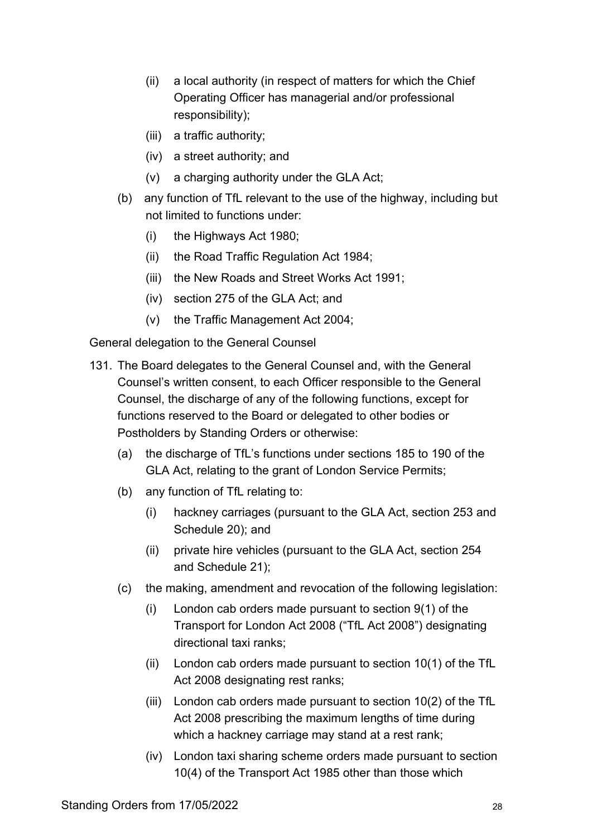- (ii) a local authority (in respect of matters for which the Chief Operating Officer has managerial and/or professional responsibility);
- (iii) a traffic authority;
- (iv) a street authority; and
- (v) a charging authority under the GLA Act;
- (b) any function of TfL relevant to the use of the highway, including but not limited to functions under:
	- (i) the Highways Act 1980;
	- (ii) the Road Traffic Regulation Act 1984;
	- (iii) the New Roads and Street Works Act 1991;
	- (iv) section 275 of the GLA Act; and
	- (v) the Traffic Management Act 2004;

General delegation to the General Counsel

- 131. The Board delegates to the General Counsel and, with the General Counsel's written consent, to each Officer responsible to the General Counsel, the discharge of any of the following functions, except for functions reserved to the Board or delegated to other bodies or Postholders by Standing Orders or otherwise:
	- (a) the discharge of TfL's functions under sections 185 to 190 of the GLA Act, relating to the grant of London Service Permits;
	- (b) any function of TfL relating to:
		- (i) hackney carriages (pursuant to the GLA Act, section 253 and Schedule 20); and
		- (ii) private hire vehicles (pursuant to the GLA Act, section 254 and Schedule 21);
	- (c) the making, amendment and revocation of the following legislation:
		- (i) London cab orders made pursuant to section 9(1) of the Transport for London Act 2008 ("TfL Act 2008") designating directional taxi ranks;
		- (ii) London cab orders made pursuant to section 10(1) of the TfL Act 2008 designating rest ranks;
		- (iii) London cab orders made pursuant to section 10(2) of the TfL Act 2008 prescribing the maximum lengths of time during which a hackney carriage may stand at a rest rank;
		- (iv) London taxi sharing scheme orders made pursuant to section 10(4) of the Transport Act 1985 other than those which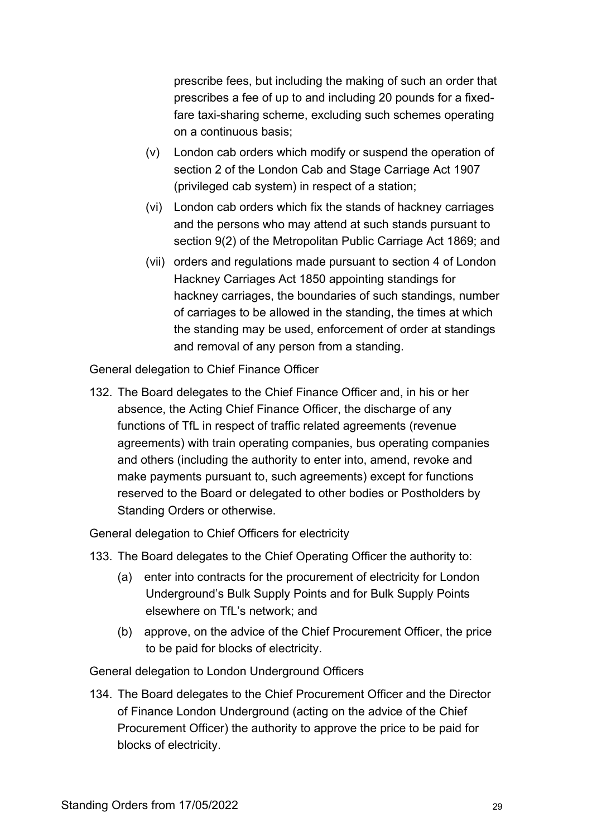prescribe fees, but including the making of such an order that prescribes a fee of up to and including 20 pounds for a fixedfare taxi-sharing scheme, excluding such schemes operating on a continuous basis;

- (v) London cab orders which modify or suspend the operation of section 2 of the London Cab and Stage Carriage Act 1907 (privileged cab system) in respect of a station;
- (vi) London cab orders which fix the stands of hackney carriages and the persons who may attend at such stands pursuant to section 9(2) of the Metropolitan Public Carriage Act 1869; and
- (vii) orders and regulations made pursuant to section 4 of London Hackney Carriages Act 1850 appointing standings for hackney carriages, the boundaries of such standings, number of carriages to be allowed in the standing, the times at which the standing may be used, enforcement of order at standings and removal of any person from a standing.

General delegation to Chief Finance Officer

132. The Board delegates to the Chief Finance Officer and, in his or her absence, the Acting Chief Finance Officer, the discharge of any functions of TfL in respect of traffic related agreements (revenue agreements) with train operating companies, bus operating companies and others (including the authority to enter into, amend, revoke and make payments pursuant to, such agreements) except for functions reserved to the Board or delegated to other bodies or Postholders by Standing Orders or otherwise.

General delegation to Chief Officers for electricity

- 133. The Board delegates to the Chief Operating Officer the authority to:
	- (a) enter into contracts for the procurement of electricity for London Underground's Bulk Supply Points and for Bulk Supply Points elsewhere on TfL's network; and
	- (b) approve, on the advice of the Chief Procurement Officer, the price to be paid for blocks of electricity.

General delegation to London Underground Officers

134. The Board delegates to the Chief Procurement Officer and the Director of Finance London Underground (acting on the advice of the Chief Procurement Officer) the authority to approve the price to be paid for blocks of electricity.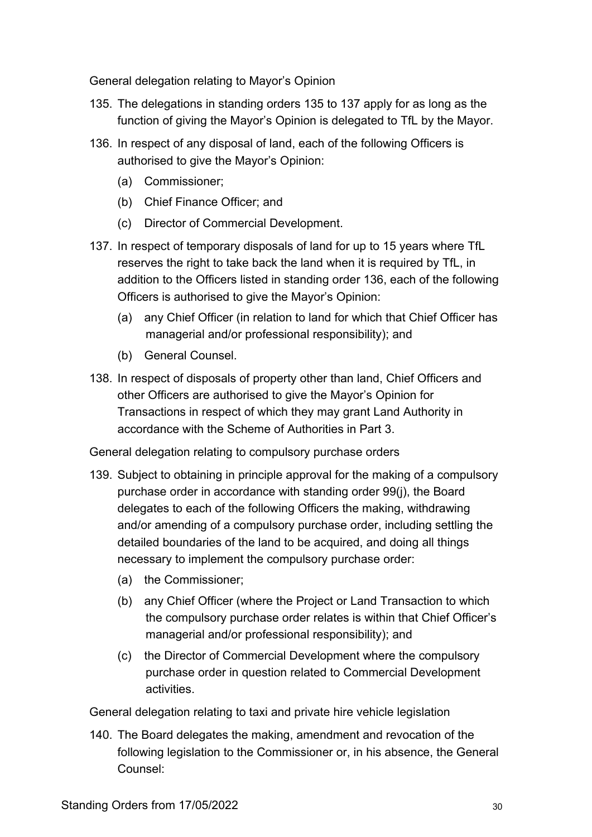General delegation relating to Mayor's Opinion

- 135. The delegations in standing orders [135](#page-29-1) to [137](#page-29-2) apply for as long as the function of giving the Mayor's Opinion is delegated to TfL by the Mayor.
- <span id="page-29-1"></span>136. In respect of any disposal of land, each of the following Officers is authorised to give the Mayor's Opinion:
	- (a) Commissioner;
	- (b) Chief Finance Officer; and
	- (c) Director of Commercial Development.
- 137. In respect of temporary disposals of land for up to 15 years where TfL reserves the right to take back the land when it is required by TfL, in addition to the Officers listed in standing order 136, each of the following Officers is authorised to give the Mayor's Opinion:
	- (a) any Chief Officer (in relation to land for which that Chief Officer has managerial and/or professional responsibility); and
	- (b) General Counsel.
- <span id="page-29-2"></span>138. In respect of disposals of property other than land, Chief Officers and other Officers are authorised to give the Mayor's Opinion for Transactions in respect of which they may grant Land Authority in accordance with the Scheme of Authorities in Part 3.

General delegation relating to compulsory purchase orders

- <span id="page-29-0"></span>139. Subject to obtaining in principle approval for the making of a compulsory purchase order in accordance with standing order [99\(j\),](#page-20-1) the Board delegates to each of the following Officers the making, withdrawing and/or amending of a compulsory purchase order, including settling the detailed boundaries of the land to be acquired, and doing all things necessary to implement the compulsory purchase order:
	- (a) the Commissioner;
	- (b) any Chief Officer (where the Project or Land Transaction to which the compulsory purchase order relates is within that Chief Officer's managerial and/or professional responsibility); and
	- (c) the Director of Commercial Development where the compulsory purchase order in question related to Commercial Development activities.

General delegation relating to taxi and private hire vehicle legislation

140. The Board delegates the making, amendment and revocation of the following legislation to the Commissioner or, in his absence, the General Counsel: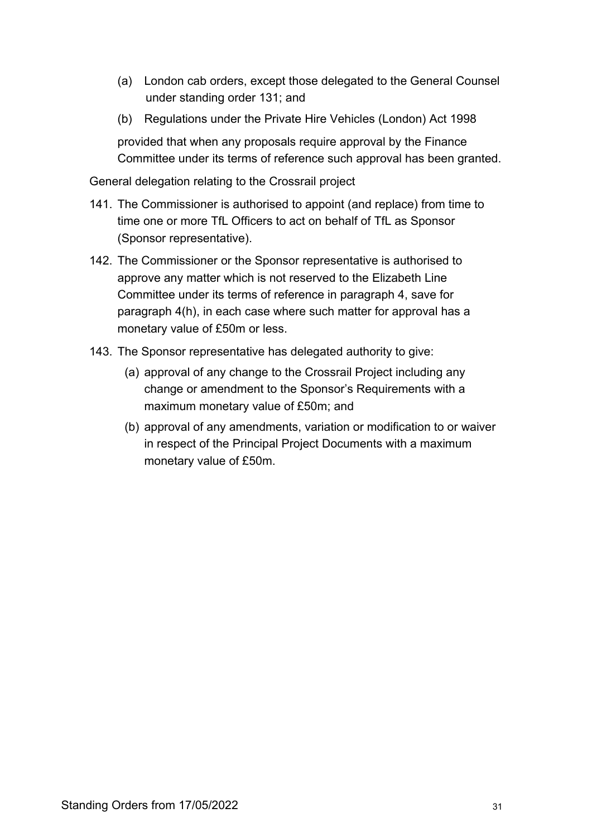- (a) London cab orders, except those delegated to the General Counsel under standing order 131; and
- (b) Regulations under the Private Hire Vehicles (London) Act 1998

provided that when any proposals require approval by the Finance Committee under its terms of reference such approval has been granted.

General delegation relating to the Crossrail project

- 141. The Commissioner is authorised to appoint (and replace) from time to time one or more TfL Officers to act on behalf of TfL as Sponsor (Sponsor representative).
- 142. The Commissioner or the Sponsor representative is authorised to approve any matter which is not reserved to the Elizabeth Line Committee under its terms of reference in paragraph 4, save for paragraph 4(h), in each case where such matter for approval has a monetary value of £50m or less.
- <span id="page-30-0"></span>143. The Sponsor representative has delegated authority to give:
	- (a) approval of any change to the Crossrail Project including any change or amendment to the Sponsor's Requirements with a maximum monetary value of £50m; and
	- (b) approval of any amendments, variation or modification to or waiver in respect of the Principal Project Documents with a maximum monetary value of £50m.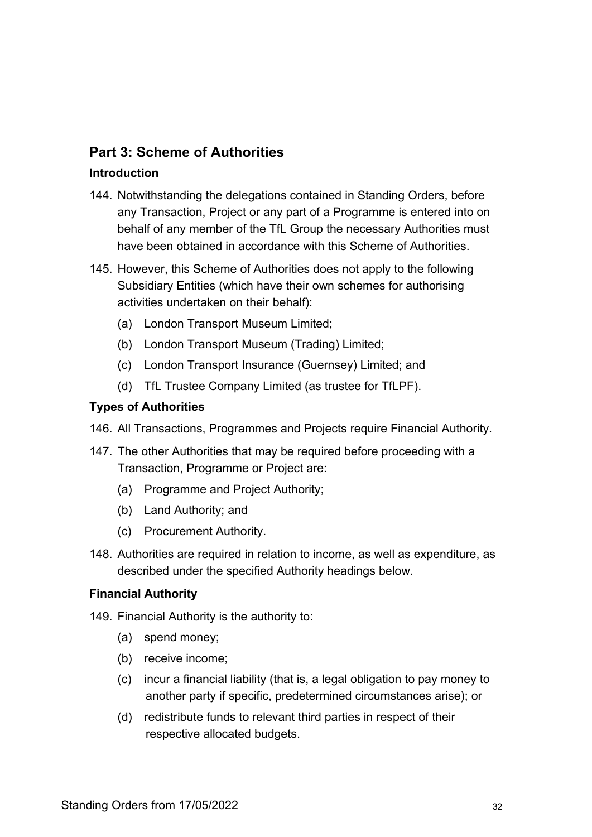# **Part 3: Scheme of Authorities**

#### **Introduction**

- 144. Notwithstanding the delegations contained in Standing Orders, before any Transaction, Project or any part of a Programme is entered into on behalf of any member of the TfL Group the necessary Authorities must have been obtained in accordance with this Scheme of Authorities.
- 145. However, this Scheme of Authorities does not apply to the following Subsidiary Entities (which have their own schemes for authorising activities undertaken on their behalf):
	- (a) London Transport Museum Limited;
	- (b) London Transport Museum (Trading) Limited;
	- (c) London Transport Insurance (Guernsey) Limited; and
	- (d) TfL Trustee Company Limited (as trustee for TfLPF).

## **Types of Authorities**

- 146. All Transactions, Programmes and Projects require Financial Authority.
- 147. The other Authorities that may be required before proceeding with a Transaction, Programme or Project are:
	- (a) Programme and Project Authority;
	- (b) Land Authority; and
	- (c) Procurement Authority.
- 148. Authorities are required in relation to income, as well as expenditure, as described under the specified Authority headings below.

#### **Financial Authority**

149. Financial Authority is the authority to:

- (a) spend money;
- (b) receive income;
- (c) incur a financial liability (that is, a legal obligation to pay money to another party if specific, predetermined circumstances arise); or
- (d) redistribute funds to relevant third parties in respect of their respective allocated budgets.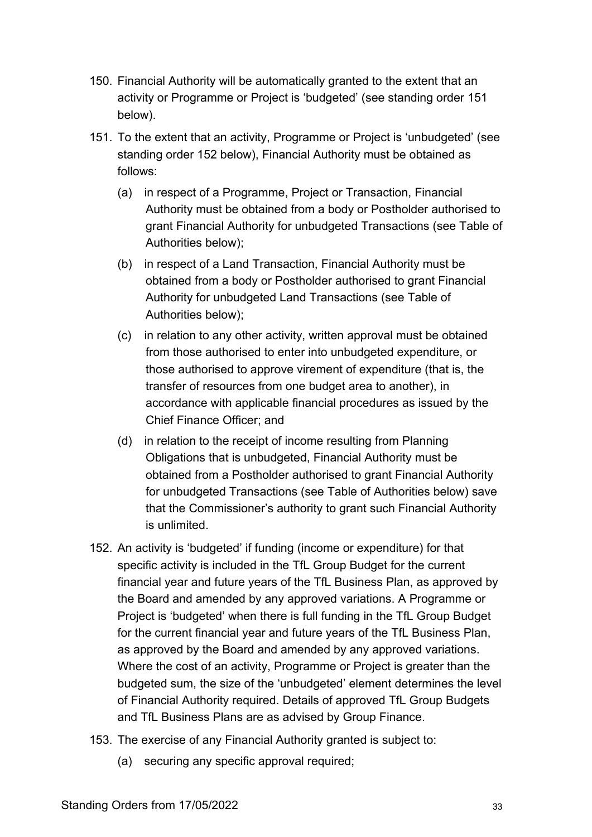- <span id="page-32-1"></span>150. Financial Authority will be automatically granted to the extent that an activity or Programme or Project is 'budgeted' (see standing order [151](#page-32-0) below).
- 151. To the extent that an activity, Programme or Project is 'unbudgeted' (see standing order [152](#page-32-0) below), Financial Authority must be obtained as follows:
	- (a) in respect of a Programme, Project or Transaction, Financial Authority must be obtained from a body or Postholder authorised to grant Financial Authority for unbudgeted Transactions (see Table of Authorities below);
	- (b) in respect of a Land Transaction, Financial Authority must be obtained from a body or Postholder authorised to grant Financial Authority for unbudgeted Land Transactions (see Table of Authorities below);
	- (c) in relation to any other activity, written approval must be obtained from those authorised to enter into unbudgeted expenditure, or those authorised to approve virement of expenditure (that is, the transfer of resources from one budget area to another), in accordance with applicable financial procedures as issued by the Chief Finance Officer; and
	- (d) in relation to the receipt of income resulting from Planning Obligations that is unbudgeted, Financial Authority must be obtained from a Postholder authorised to grant Financial Authority for unbudgeted Transactions (see Table of Authorities below) save that the Commissioner's authority to grant such Financial Authority is unlimited.
- <span id="page-32-0"></span>152. An activity is 'budgeted' if funding (income or expenditure) for that specific activity is included in the TfL Group Budget for the current financial year and future years of the TfL Business Plan, as approved by the Board and amended by any approved variations. A Programme or Project is 'budgeted' when there is full funding in the TfL Group Budget for the current financial year and future years of the TfL Business Plan, as approved by the Board and amended by any approved variations. Where the cost of an activity, Programme or Project is greater than the budgeted sum, the size of the 'unbudgeted' element determines the level of Financial Authority required. Details of approved TfL Group Budgets and TfL Business Plans are as advised by Group Finance.
- 153. The exercise of any Financial Authority granted is subject to:
	- (a) securing any specific approval required;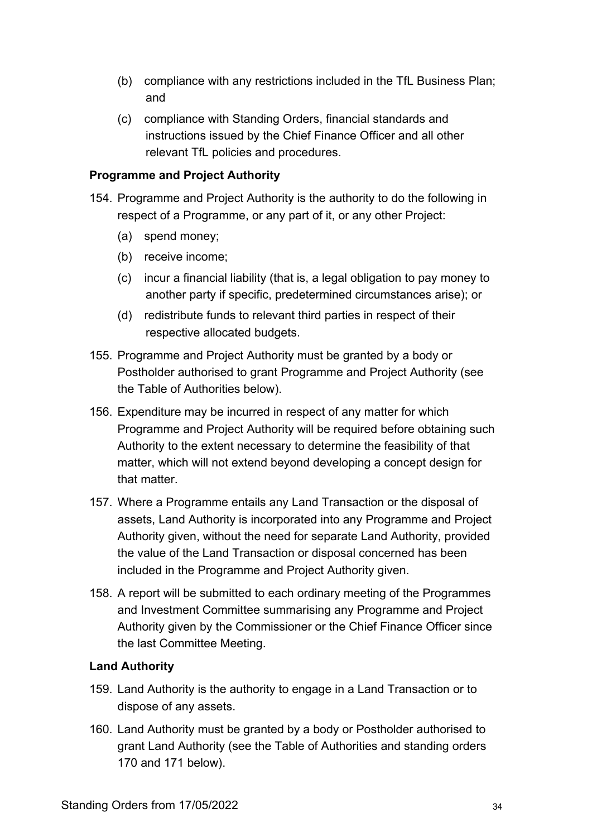- (b) compliance with any restrictions included in the TfL Business Plan; and
- (c) compliance with Standing Orders, financial standards and instructions issued by the Chief Finance Officer and all other relevant TfL policies and procedures.

#### **Programme and Project Authority**

- <span id="page-33-1"></span>154. Programme and Project Authority is the authority to do the following in respect of a Programme, or any part of it, or any other Project:
	- (a) spend money;
	- (b) receive income;
	- (c) incur a financial liability (that is, a legal obligation to pay money to another party if specific, predetermined circumstances arise); or
	- (d) redistribute funds to relevant third parties in respect of their respective allocated budgets.
- 155. Programme and Project Authority must be granted by a body or Postholder authorised to grant Programme and Project Authority (see the Table of Authorities below).
- 156. Expenditure may be incurred in respect of any matter for which Programme and Project Authority will be required before obtaining such Authority to the extent necessary to determine the feasibility of that matter, which will not extend beyond developing a concept design for that matter.
- 157. Where a Programme entails any Land Transaction or the disposal of assets, Land Authority is incorporated into any Programme and Project Authority given, without the need for separate Land Authority, provided the value of the Land Transaction or disposal concerned has been included in the Programme and Project Authority given.
- 158. A report will be submitted to each ordinary meeting of the Programmes and Investment Committee summarising any Programme and Project Authority given by the Commissioner or the Chief Finance Officer since the last Committee Meeting.

#### **Land Authority**

- 159. Land Authority is the authority to engage in a Land Transaction or to dispose of any assets.
- <span id="page-33-0"></span>160. Land Authority must be granted by a body or Postholder authorised to grant Land Authority (see the Table of Authorities and standing orders 170 and 171 below).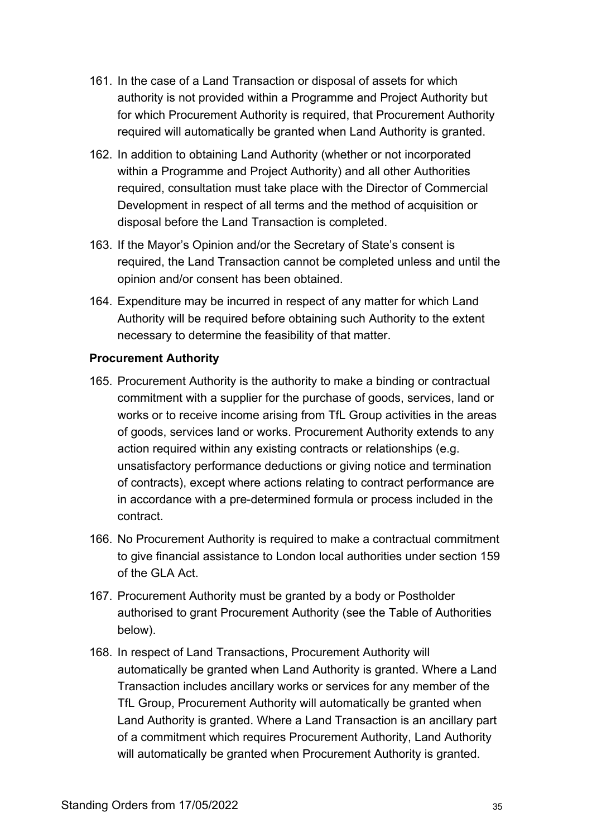- 161. In the case of a Land Transaction or disposal of assets for which authority is not provided within a Programme and Project Authority but for which Procurement Authority is required, that Procurement Authority required will automatically be granted when Land Authority is granted.
- 162. In addition to obtaining Land Authority (whether or not incorporated within a Programme and Project Authority) and all other Authorities required, consultation must take place with the Director of Commercial Development in respect of all terms and the method of acquisition or disposal before the Land Transaction is completed.
- 163. If the Mayor's Opinion and/or the Secretary of State's consent is required, the Land Transaction cannot be completed unless and until the opinion and/or consent has been obtained.
- 164. Expenditure may be incurred in respect of any matter for which Land Authority will be required before obtaining such Authority to the extent necessary to determine the feasibility of that matter.

#### **Procurement Authority**

- <span id="page-34-0"></span>165. Procurement Authority is the authority to make a binding or contractual commitment with a supplier for the purchase of goods, services, land or works or to receive income arising from TfL Group activities in the areas of goods, services land or works. Procurement Authority extends to any action required within any existing contracts or relationships (e.g. unsatisfactory performance deductions or giving notice and termination of contracts), except where actions relating to contract performance are in accordance with a pre-determined formula or process included in the contract.
- 166. No Procurement Authority is required to make a contractual commitment to give financial assistance to London local authorities under section 159 of the GLA Act.
- 167. Procurement Authority must be granted by a body or Postholder authorised to grant Procurement Authority (see the Table of Authorities below).
- 168. In respect of Land Transactions, Procurement Authority will automatically be granted when Land Authority is granted. Where a Land Transaction includes ancillary works or services for any member of the TfL Group, Procurement Authority will automatically be granted when Land Authority is granted. Where a Land Transaction is an ancillary part of a commitment which requires Procurement Authority, Land Authority will automatically be granted when Procurement Authority is granted.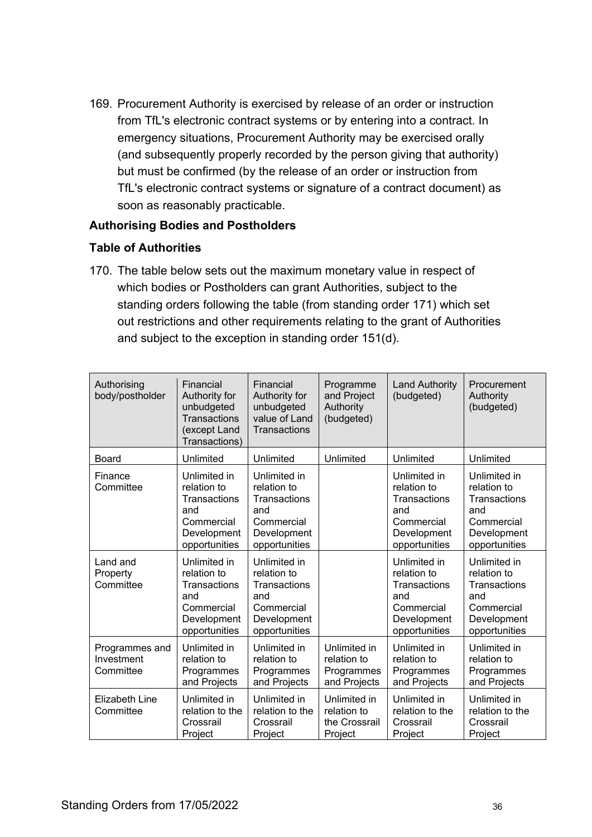169. Procurement Authority is exercised by release of an order or instruction from TfL's electronic contract systems or by entering into a contract. In emergency situations, Procurement Authority may be exercised orally (and subsequently properly recorded by the person giving that authority) but must be confirmed (by the release of an order or instruction from TfL's electronic contract systems or signature of a contract document) as soon as reasonably practicable.

#### **Authorising Bodies and Postholders**

#### **Table of Authorities**

<span id="page-35-0"></span>170. The table below sets out the maximum monetary value in respect of which bodies or Postholders can grant Authorities, subject to the standing orders following the table (from standing order 171) which set out restrictions and other requirements relating to the grant of Authorities and subject to the exception in standing order 151(d).

| Authorising<br>body/postholder            | Financial<br>Authority for<br>unbudgeted<br><b>Transactions</b><br>(except Land<br>Transactions) | Financial<br>Authority for<br>unbudgeted<br>value of Land<br><b>Transactions</b>                 | Programme<br>and Project<br>Authority<br>(budgeted)       | <b>Land Authority</b><br>(budgeted)                                                              | Procurement<br>Authority<br>(budgeted)                                                           |
|-------------------------------------------|--------------------------------------------------------------------------------------------------|--------------------------------------------------------------------------------------------------|-----------------------------------------------------------|--------------------------------------------------------------------------------------------------|--------------------------------------------------------------------------------------------------|
| Board                                     | Unlimited                                                                                        | Unlimited                                                                                        | Unlimited                                                 | Unlimited                                                                                        | Unlimited                                                                                        |
| Finance<br>Committee                      | Unlimited in<br>relation to<br>Transactions<br>and<br>Commercial<br>Development<br>opportunities | Unlimited in<br>relation to<br>Transactions<br>and<br>Commercial<br>Development<br>opportunities |                                                           | Unlimited in<br>relation to<br>Transactions<br>and<br>Commercial<br>Development<br>opportunities | Unlimited in<br>relation to<br>Transactions<br>and<br>Commercial<br>Development<br>opportunities |
| Land and<br>Property<br>Committee         | Unlimited in<br>relation to<br>Transactions<br>and<br>Commercial<br>Development<br>opportunities | Unlimited in<br>relation to<br>Transactions<br>and<br>Commercial<br>Development<br>opportunities |                                                           | Unlimited in<br>relation to<br>Transactions<br>and<br>Commercial<br>Development<br>opportunities | Unlimited in<br>relation to<br>Transactions<br>and<br>Commercial<br>Development<br>opportunities |
| Programmes and<br>Investment<br>Committee | Unlimited in<br>relation to<br>Programmes<br>and Projects                                        | Unlimited in<br>relation to<br>Programmes<br>and Projects                                        | Unlimited in<br>relation to<br>Programmes<br>and Projects | Unlimited in<br>relation to<br>Programmes<br>and Projects                                        | Unlimited in<br>relation to<br>Programmes<br>and Projects                                        |
| <b>Elizabeth Line</b><br>Committee        | Unlimited in<br>relation to the<br>Crossrail<br>Project                                          | Unlimited in<br>relation to the<br>Crossrail<br>Project                                          | Unlimited in<br>relation to<br>the Crossrail<br>Project   | Unlimited in<br>relation to the<br>Crossrail<br>Project                                          | Unlimited in<br>relation to the<br>Crossrail<br>Project                                          |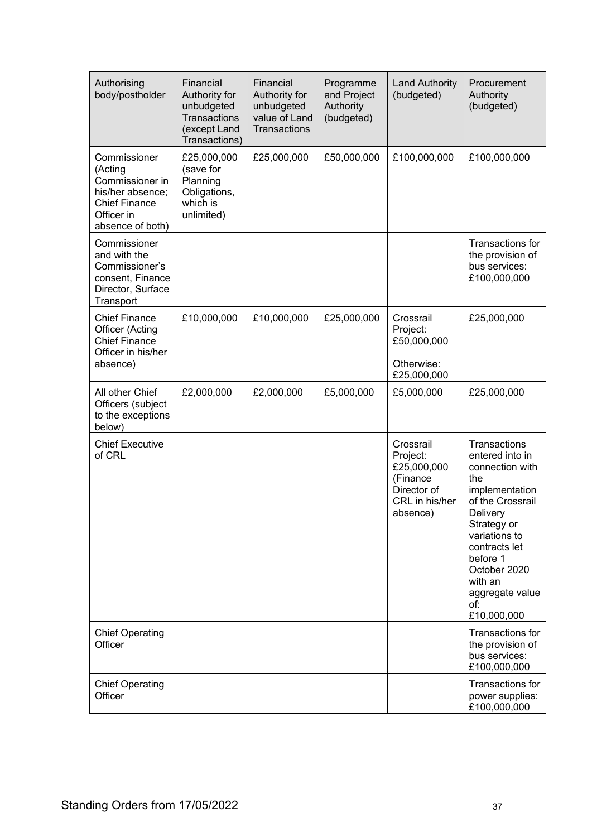| Authorising<br>body/postholder                                                                                           | Financial<br>Authority for<br>unbudgeted<br>Transactions<br>(except Land<br>Transactions) | Financial<br>Authority for<br>unbudgeted<br>value of Land<br>Transactions | Programme<br>and Project<br>Authority<br>(budgeted) | <b>Land Authority</b><br>(budgeted)                                                           | Procurement<br>Authority<br>(budgeted)                                                                                                                                                                                                       |
|--------------------------------------------------------------------------------------------------------------------------|-------------------------------------------------------------------------------------------|---------------------------------------------------------------------------|-----------------------------------------------------|-----------------------------------------------------------------------------------------------|----------------------------------------------------------------------------------------------------------------------------------------------------------------------------------------------------------------------------------------------|
| Commissioner<br>(Acting<br>Commissioner in<br>his/her absence;<br><b>Chief Finance</b><br>Officer in<br>absence of both) | £25,000,000<br>(save for<br>Planning<br>Obligations,<br>which is<br>unlimited)            | £25,000,000                                                               | £50,000,000                                         | £100,000,000                                                                                  | £100,000,000                                                                                                                                                                                                                                 |
| Commissioner<br>and with the<br>Commissioner's<br>consent, Finance<br>Director, Surface<br>Transport                     |                                                                                           |                                                                           |                                                     |                                                                                               | Transactions for<br>the provision of<br>bus services:<br>£100,000,000                                                                                                                                                                        |
| <b>Chief Finance</b><br>Officer (Acting<br><b>Chief Finance</b><br>Officer in his/her<br>absence)                        | £10,000,000                                                                               | £10,000,000                                                               | £25,000,000                                         | Crossrail<br>Project:<br>£50,000,000<br>Otherwise:<br>£25,000,000                             | £25,000,000                                                                                                                                                                                                                                  |
| All other Chief<br>Officers (subject<br>to the exceptions<br>below)                                                      | £2,000,000                                                                                | £2,000,000                                                                | £5,000,000                                          | £5,000,000                                                                                    | £25,000,000                                                                                                                                                                                                                                  |
| <b>Chief Executive</b><br>of CRL                                                                                         |                                                                                           |                                                                           |                                                     | Crossrail<br>Project:<br>£25,000,000<br>(Finance<br>Director of<br>CRL in his/her<br>absence) | Transactions<br>entered into in<br>connection with<br>the<br>implementation<br>of the Crossrail<br>Delivery<br>Strategy or<br>variations to<br>contracts let<br>before 1<br>October 2020<br>with an<br>aggregate value<br>of:<br>£10,000,000 |
| <b>Chief Operating</b><br>Officer                                                                                        |                                                                                           |                                                                           |                                                     |                                                                                               | Transactions for<br>the provision of<br>bus services:<br>£100,000,000                                                                                                                                                                        |
| <b>Chief Operating</b><br>Officer                                                                                        |                                                                                           |                                                                           |                                                     |                                                                                               | Transactions for<br>power supplies:<br>£100,000,000                                                                                                                                                                                          |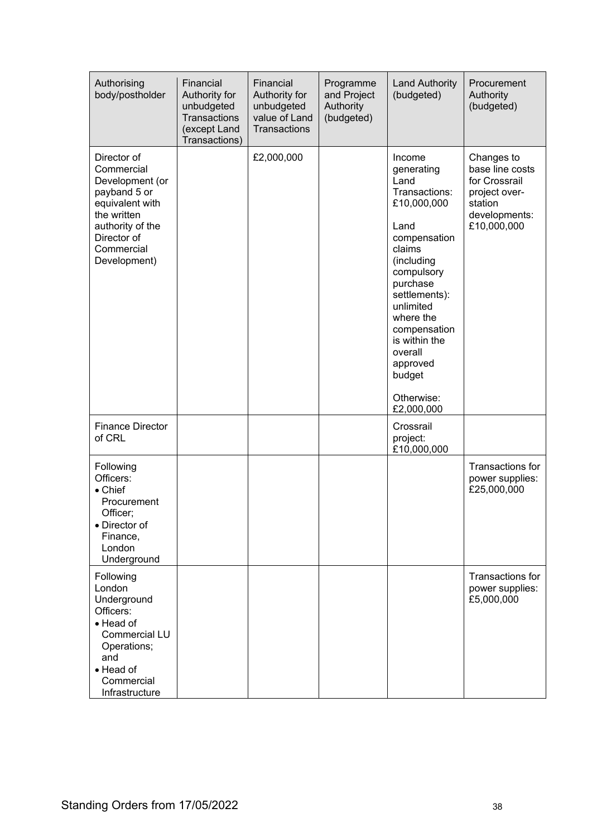| Authorising<br>body/postholder                                                                                                                                  | Financial<br>Authority for<br>unbudgeted<br>Transactions<br>(except Land<br>Transactions) | Financial<br>Authority for<br>unbudgeted<br>value of Land<br>Transactions | Programme<br>and Project<br>Authority<br>(budgeted) | <b>Land Authority</b><br>(budgeted)                                                                                                                                                                                                                                             | Procurement<br>Authority<br>(budgeted)                                                                     |
|-----------------------------------------------------------------------------------------------------------------------------------------------------------------|-------------------------------------------------------------------------------------------|---------------------------------------------------------------------------|-----------------------------------------------------|---------------------------------------------------------------------------------------------------------------------------------------------------------------------------------------------------------------------------------------------------------------------------------|------------------------------------------------------------------------------------------------------------|
| Director of<br>Commercial<br>Development (or<br>payband 5 or<br>equivalent with<br>the written<br>authority of the<br>Director of<br>Commercial<br>Development) |                                                                                           | £2,000,000                                                                |                                                     | Income<br>generating<br>Land<br>Transactions:<br>£10,000,000<br>Land<br>compensation<br>claims<br>(including<br>compulsory<br>purchase<br>settlements):<br>unlimited<br>where the<br>compensation<br>is within the<br>overall<br>approved<br>budget<br>Otherwise:<br>£2,000,000 | Changes to<br>base line costs<br>for Crossrail<br>project over-<br>station<br>developments:<br>£10,000,000 |
| <b>Finance Director</b><br>of CRL                                                                                                                               |                                                                                           |                                                                           |                                                     | Crossrail<br>project:<br>£10,000,000                                                                                                                                                                                                                                            |                                                                                                            |
| Following<br>Officers:<br>• Chief<br>Procurement<br>Officer;<br>• Director of<br>Finance,<br>London<br>Underground                                              |                                                                                           |                                                                           |                                                     |                                                                                                                                                                                                                                                                                 | Transactions for<br>power supplies:<br>£25,000,000                                                         |
| Following<br>London<br>Underground<br>Officers:<br>• Head of<br><b>Commercial LU</b><br>Operations;<br>and<br>• Head of<br>Commercial<br>Infrastructure         |                                                                                           |                                                                           |                                                     |                                                                                                                                                                                                                                                                                 | Transactions for<br>power supplies:<br>£5,000,000                                                          |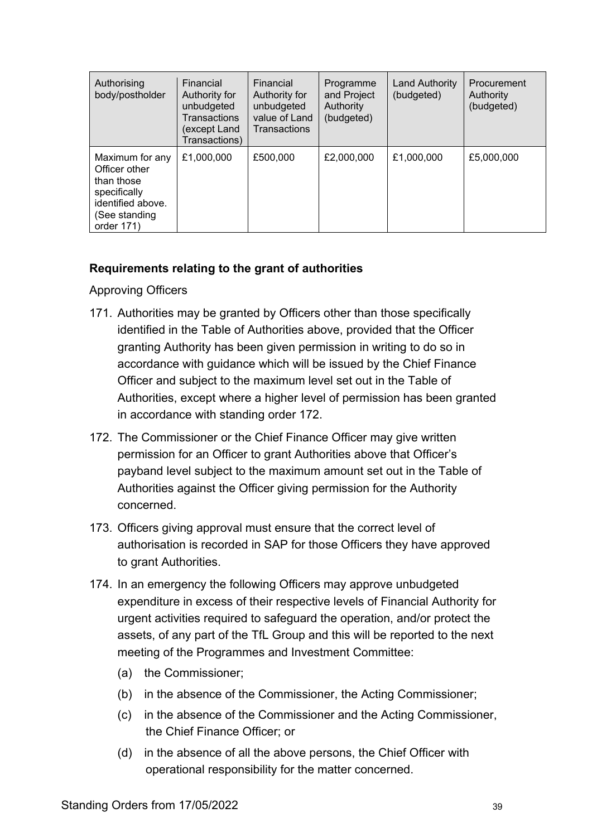| Authorising<br>body/postholder                                                                                     | Financial<br>Authority for<br>unbudgeted<br>Transactions<br>(except Land<br>Transactions) | Financial<br>Authority for<br>unbudgeted<br>value of Land<br>Transactions | Programme<br>and Project<br>Authority<br>(budgeted) | Land Authority<br>(budgeted) | Procurement<br>Authority<br>(budgeted) |
|--------------------------------------------------------------------------------------------------------------------|-------------------------------------------------------------------------------------------|---------------------------------------------------------------------------|-----------------------------------------------------|------------------------------|----------------------------------------|
| Maximum for any<br>Officer other<br>than those<br>specifically<br>identified above.<br>(See standing<br>order 171) | £1,000,000                                                                                | £500,000                                                                  | £2,000,000                                          | £1,000,000                   | £5,000,000                             |

#### **Requirements relating to the grant of authorities**

Approving Officers

- <span id="page-38-0"></span>171. Authorities may be granted by Officers other than those specifically identified in the Table of Authorities above, provided that the Officer granting Authority has been given permission in writing to do so in accordance with guidance which will be issued by the Chief Finance Officer and subject to the maximum level set out in the Table of Authorities, except where a higher level of permission has been granted in accordance with standing order [172.](#page-38-1)
- <span id="page-38-1"></span>172. The Commissioner or the Chief Finance Officer may give written permission for an Officer to grant Authorities above that Officer's payband level subject to the maximum amount set out in the Table of Authorities against the Officer giving permission for the Authority concerned.
- 173. Officers giving approval must ensure that the correct level of authorisation is recorded in SAP for those Officers they have approved to grant Authorities.
- 174. In an emergency the following Officers may approve unbudgeted expenditure in excess of their respective levels of Financial Authority for urgent activities required to safeguard the operation, and/or protect the assets, of any part of the TfL Group and this will be reported to the next meeting of the Programmes and Investment Committee:
	- (a) the Commissioner;
	- (b) in the absence of the Commissioner, the Acting Commissioner;
	- (c) in the absence of the Commissioner and the Acting Commissioner, the Chief Finance Officer; or
	- (d) in the absence of all the above persons, the Chief Officer with operational responsibility for the matter concerned.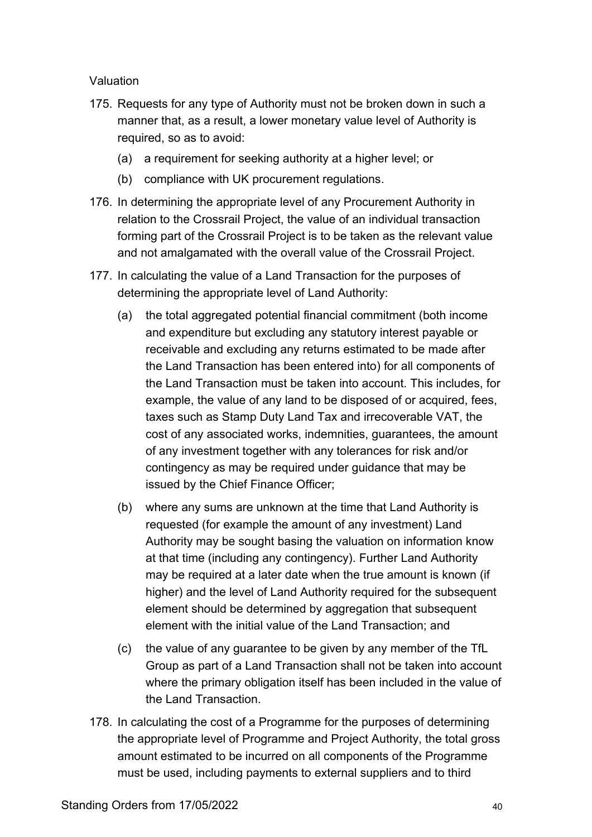Valuation

- <span id="page-39-0"></span>175. Requests for any type of Authority must not be broken down in such a manner that, as a result, a lower monetary value level of Authority is required, so as to avoid:
	- (a) a requirement for seeking authority at a higher level; or
	- (b) compliance with UK procurement regulations.
- 176. In determining the appropriate level of any Procurement Authority in relation to the Crossrail Project, the value of an individual transaction forming part of the Crossrail Project is to be taken as the relevant value and not amalgamated with the overall value of the Crossrail Project.
- 177. In calculating the value of a Land Transaction for the purposes of determining the appropriate level of Land Authority:
	- (a) the total aggregated potential financial commitment (both income and expenditure but excluding any statutory interest payable or receivable and excluding any returns estimated to be made after the Land Transaction has been entered into) for all components of the Land Transaction must be taken into account. This includes, for example, the value of any land to be disposed of or acquired, fees, taxes such as Stamp Duty Land Tax and irrecoverable VAT, the cost of any associated works, indemnities, guarantees, the amount of any investment together with any tolerances for risk and/or contingency as may be required under guidance that may be issued by the Chief Finance Officer;
	- (b) where any sums are unknown at the time that Land Authority is requested (for example the amount of any investment) Land Authority may be sought basing the valuation on information know at that time (including any contingency). Further Land Authority may be required at a later date when the true amount is known (if higher) and the level of Land Authority required for the subsequent element should be determined by aggregation that subsequent element with the initial value of the Land Transaction; and
	- (c) the value of any guarantee to be given by any member of the TfL Group as part of a Land Transaction shall not be taken into account where the primary obligation itself has been included in the value of the Land Transaction.
- 178. In calculating the cost of a Programme for the purposes of determining the appropriate level of Programme and Project Authority, the total gross amount estimated to be incurred on all components of the Programme must be used, including payments to external suppliers and to third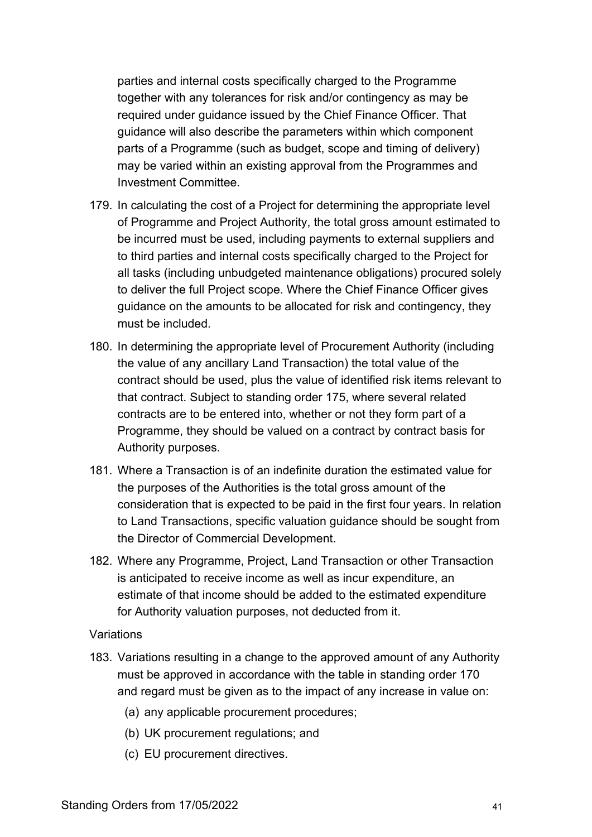parties and internal costs specifically charged to the Programme together with any tolerances for risk and/or contingency as may be required under guidance issued by the Chief Finance Officer. That guidance will also describe the parameters within which component parts of a Programme (such as budget, scope and timing of delivery) may be varied within an existing approval from the Programmes and Investment Committee.

- 179. In calculating the cost of a Project for determining the appropriate level of Programme and Project Authority, the total gross amount estimated to be incurred must be used, including payments to external suppliers and to third parties and internal costs specifically charged to the Project for all tasks (including unbudgeted maintenance obligations) procured solely to deliver the full Project scope. Where the Chief Finance Officer gives guidance on the amounts to be allocated for risk and contingency, they must be included.
- 180. In determining the appropriate level of Procurement Authority (including the value of any ancillary Land Transaction) the total value of the contract should be used, plus the value of identified risk items relevant to that contract. Subject to standing order [175,](#page-39-0) where several related contracts are to be entered into, whether or not they form part of a Programme, they should be valued on a contract by contract basis for Authority purposes.
- 181. Where a Transaction is of an indefinite duration the estimated value for the purposes of the Authorities is the total gross amount of the consideration that is expected to be paid in the first four years. In relation to Land Transactions, specific valuation guidance should be sought from the Director of Commercial Development.
- 182. Where any Programme, Project, Land Transaction or other Transaction is anticipated to receive income as well as incur expenditure, an estimate of that income should be added to the estimated expenditure for Authority valuation purposes, not deducted from it.

#### Variations

- 183. Variations resulting in a change to the approved amount of any Authority must be approved in accordance with the table in standing order [170](#page-35-0) and regard must be given as to the impact of any increase in value on:
	- (a) any applicable procurement procedures;
	- (b) UK procurement regulations; and
	- (c) EU procurement directives.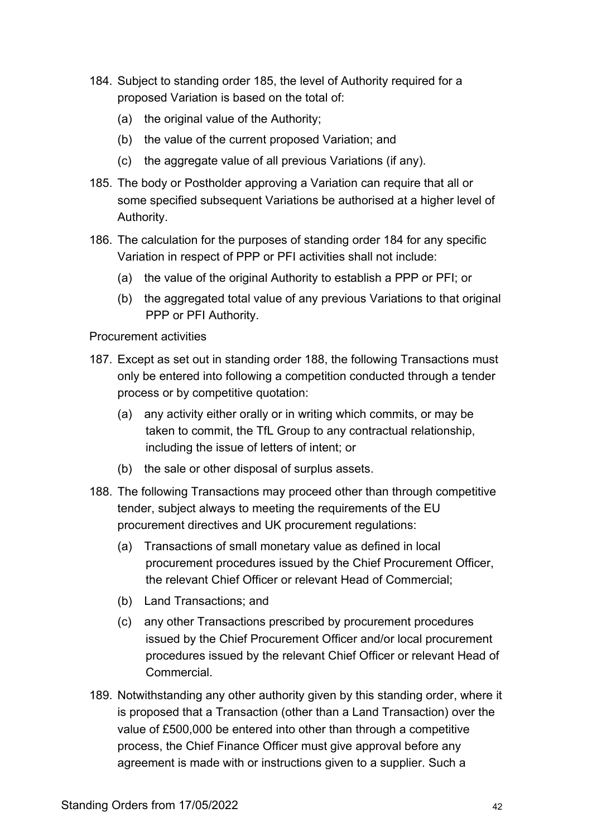- <span id="page-41-1"></span>184. Subject to standing order [185,](#page-41-0) the level of Authority required for a proposed Variation is based on the total of:
	- (a) the original value of the Authority;
	- (b) the value of the current proposed Variation; and
	- (c) the aggregate value of all previous Variations (if any).
- <span id="page-41-0"></span>185. The body or Postholder approving a Variation can require that all or some specified subsequent Variations be authorised at a higher level of Authority.
- 186. The calculation for the purposes of standing order [184](#page-41-1) for any specific Variation in respect of PPP or PFI activities shall not include:
	- (a) the value of the original Authority to establish a PPP or PFI; or
	- (b) the aggregated total value of any previous Variations to that original PPP or PFI Authority.

Procurement activities

- 187. Except as set out in standing order [188,](#page-41-2) the following Transactions must only be entered into following a competition conducted through a tender process or by competitive quotation:
	- (a) any activity either orally or in writing which commits, or may be taken to commit, the TfL Group to any contractual relationship, including the issue of letters of intent; or
	- (b) the sale or other disposal of surplus assets.
- <span id="page-41-2"></span>188. The following Transactions may proceed other than through competitive tender, subject always to meeting the requirements of the EU procurement directives and UK procurement regulations:
	- (a) Transactions of small monetary value as defined in local procurement procedures issued by the Chief Procurement Officer, the relevant Chief Officer or relevant Head of Commercial;
	- (b) Land Transactions; and
	- (c) any other Transactions prescribed by procurement procedures issued by the Chief Procurement Officer and/or local procurement procedures issued by the relevant Chief Officer or relevant Head of **Commercial**
- 189. Notwithstanding any other authority given by this standing order, where it is proposed that a Transaction (other than a Land Transaction) over the value of £500,000 be entered into other than through a competitive process, the Chief Finance Officer must give approval before any agreement is made with or instructions given to a supplier. Such a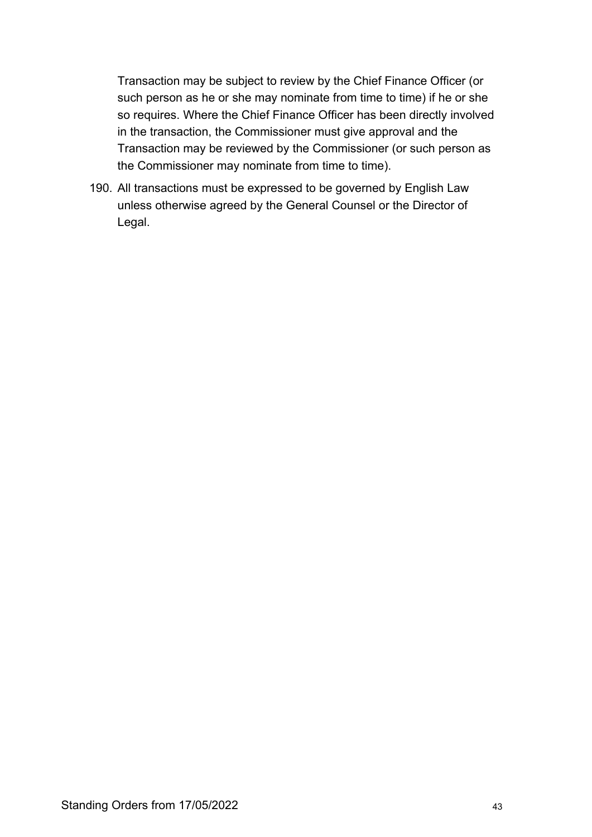Transaction may be subject to review by the Chief Finance Officer (or such person as he or she may nominate from time to time) if he or she so requires. Where the Chief Finance Officer has been directly involved in the transaction, the Commissioner must give approval and the Transaction may be reviewed by the Commissioner (or such person as the Commissioner may nominate from time to time).

190. All transactions must be expressed to be governed by English Law unless otherwise agreed by the General Counsel or the Director of Legal.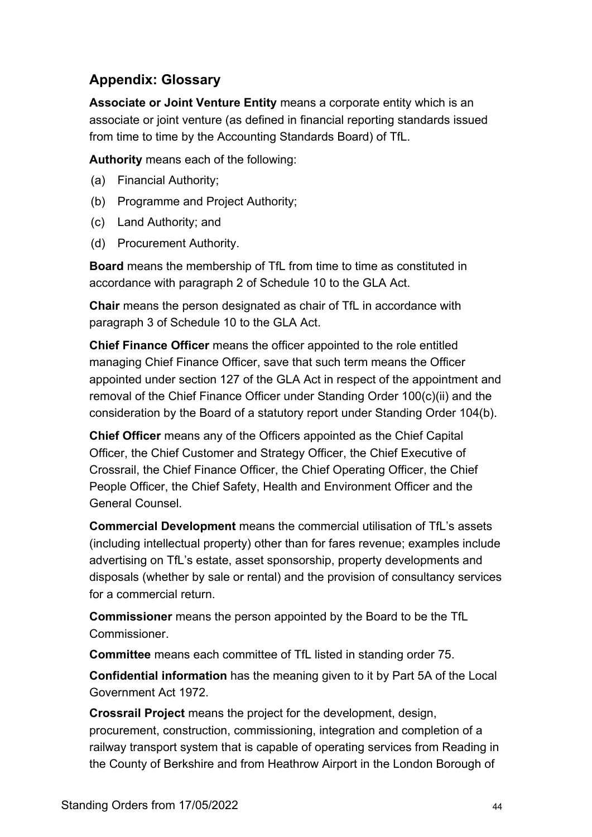# **Appendix: Glossary**

**Associate or Joint Venture Entity** means a corporate entity which is an associate or joint venture (as defined in financial reporting standards issued from time to time by the Accounting Standards Board) of TfL.

**Authority** means each of the following:

- (a) Financial Authority;
- (b) Programme and Project Authority;
- (c) Land Authority; and
- (d) Procurement Authority.

**Board** means the membership of TfL from time to time as constituted in accordance with paragraph 2 of Schedule 10 to the GLA Act.

**Chair** means the person designated as chair of TfL in accordance with paragraph 3 of Schedule 10 to the GLA Act.

**Chief Finance Officer** means the officer appointed to the role entitled managing Chief Finance Officer, save that such term means the Officer appointed under section 127 of the GLA Act in respect of the appointment and removal of the Chief Finance Officer under Standing Order 100(c)(ii) and the consideration by the Board of a statutory report under Standing Order 104(b).

**Chief Officer** means any of the Officers appointed as the Chief Capital Officer, the Chief Customer and Strategy Officer, the Chief Executive of Crossrail, the Chief Finance Officer, the Chief Operating Officer, the Chief People Officer, the Chief Safety, Health and Environment Officer and the General Counsel.

**Commercial Development** means the commercial utilisation of TfL's assets (including intellectual property) other than for fares revenue; examples include advertising on TfL's estate, asset sponsorship, property developments and disposals (whether by sale or rental) and the provision of consultancy services for a commercial return.

**Commissioner** means the person appointed by the Board to be the TfL Commissioner.

**Committee** means each committee of TfL listed in standing order [75.](#page-16-1)

**Confidential information** has the meaning given to it by Part 5A of the Local Government Act 1972.

**Crossrail Project** means the project for the development, design, procurement, construction, commissioning, integration and completion of a railway transport system that is capable of operating services from Reading in the County of Berkshire and from Heathrow Airport in the London Borough of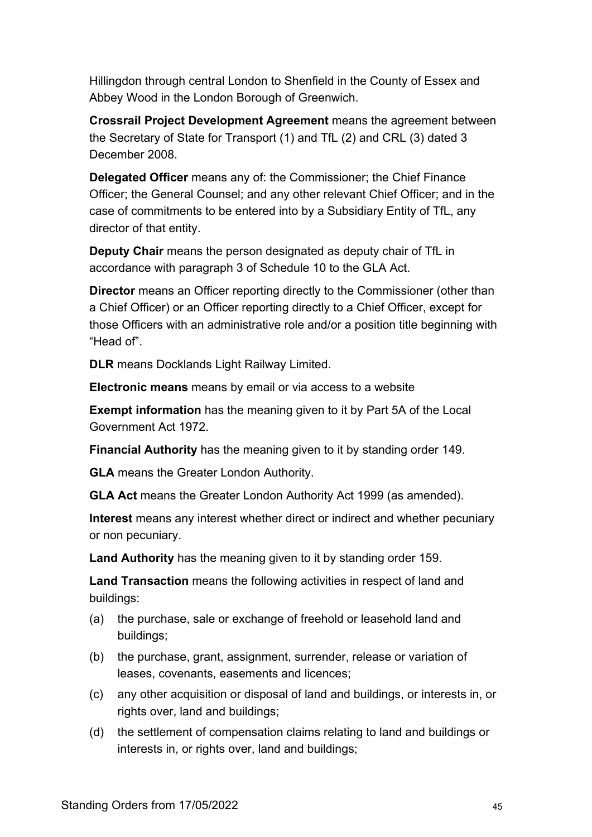Hillingdon through central London to Shenfield in the County of Essex and Abbey Wood in the London Borough of Greenwich.

**Crossrail Project Development Agreement** means the agreement between the Secretary of State for Transport (1) and TfL (2) and CRL (3) dated 3 December 2008.

**Delegated Officer** means any of: the Commissioner; the Chief Finance Officer; the General Counsel; and any other relevant Chief Officer; and in the case of commitments to be entered into by a Subsidiary Entity of TfL, any director of that entity.

**Deputy Chair** means the person designated as deputy chair of TfL in accordance with paragraph 3 of Schedule 10 to the GLA Act.

**Director** means an Officer reporting directly to the Commissioner (other than a Chief Officer) or an Officer reporting directly to a Chief Officer, except for those Officers with an administrative role and/or a position title beginning with "Head of".

**DLR** means Docklands Light Railway Limited.

**Electronic means** means by email or via access to a website

**Exempt information** has the meaning given to it by Part 5A of the Local Government Act 1972.

**Financial Authority** has the meaning given to it by standing order [149.](#page-32-1)

**GLA** means the Greater London Authority.

**GLA Act** means the Greater London Authority Act 1999 (as amended).

**Interest** means any interest whether direct or indirect and whether pecuniary or non pecuniary.

**Land Authority** has the meaning given to it by standing order [159.](#page-33-0)

**Land Transaction** means the following activities in respect of land and buildings:

- (a) the purchase, sale or exchange of freehold or leasehold land and buildings;
- (b) the purchase, grant, assignment, surrender, release or variation of leases, covenants, easements and licences;
- (c) any other acquisition or disposal of land and buildings, or interests in, or rights over, land and buildings;
- (d) the settlement of compensation claims relating to land and buildings or interests in, or rights over, land and buildings;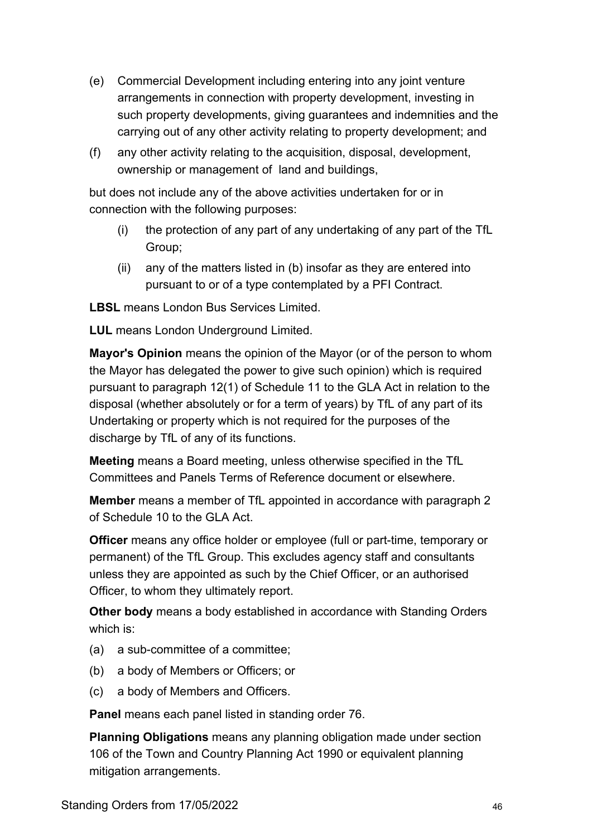- (e) Commercial Development including entering into any joint venture arrangements in connection with property development, investing in such property developments, giving guarantees and indemnities and the carrying out of any other activity relating to property development; and
- (f) any other activity relating to the acquisition, disposal, development, ownership or management of land and buildings,

but does not include any of the above activities undertaken for or in connection with the following purposes:

- (i) the protection of any part of any undertaking of any part of the TfL Group;
- (ii) any of the matters listed in (b) insofar as they are entered into pursuant to or of a type contemplated by a PFI Contract.

**LBSL** means London Bus Services Limited.

**LUL** means London Underground Limited.

**Mayor's Opinion** means the opinion of the Mayor (or of the person to whom the Mayor has delegated the power to give such opinion) which is required pursuant to paragraph 12(1) of Schedule 11 to the GLA Act in relation to the disposal (whether absolutely or for a term of years) by TfL of any part of its Undertaking or property which is not required for the purposes of the discharge by TfL of any of its functions.

**Meeting** means a Board meeting, unless otherwise specified in the TfL Committees and Panels Terms of Reference document or elsewhere.

**Member** means a member of TfL appointed in accordance with paragraph 2 of Schedule 10 to the GLA Act.

**Officer** means any office holder or employee (full or part-time, temporary or permanent) of the TfL Group. This excludes agency staff and consultants unless they are appointed as such by the Chief Officer, or an authorised Officer, to whom they ultimately report.

**Other body** means a body established in accordance with Standing Orders which is:

- (a) a sub-committee of a committee;
- (b) a body of Members or Officers; or
- (c) a body of Members and Officers.

**Panel** means each panel listed in standing order [76.](#page-16-0)

**Planning Obligations** means any planning obligation made under section 106 of the Town and Country Planning Act 1990 or equivalent planning mitigation arrangements.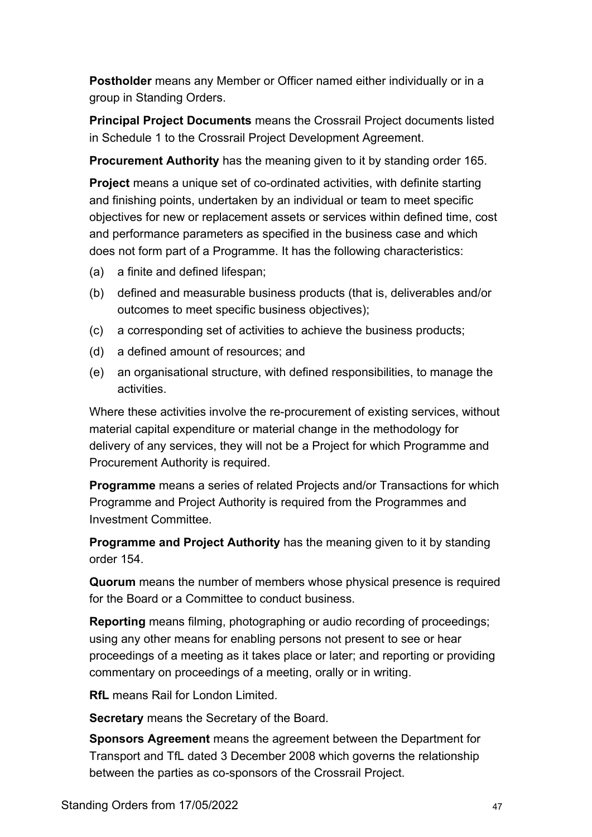**Postholder** means any Member or Officer named either individually or in a group in Standing Orders.

**Principal Project Documents** means the Crossrail Project documents listed in Schedule 1 to the Crossrail Project Development Agreement.

**Procurement Authority** has the meaning given to it by standing order [165.](#page-34-0)

**Project** means a unique set of co-ordinated activities, with definite starting and finishing points, undertaken by an individual or team to meet specific objectives for new or replacement assets or services within defined time, cost and performance parameters as specified in the business case and which does not form part of a Programme. It has the following characteristics:

- (a) a finite and defined lifespan;
- (b) defined and measurable business products (that is, deliverables and/or outcomes to meet specific business objectives);
- (c) a corresponding set of activities to achieve the business products;
- (d) a defined amount of resources; and
- (e) an organisational structure, with defined responsibilities, to manage the activities.

Where these activities involve the re-procurement of existing services, without material capital expenditure or material change in the methodology for delivery of any services, they will not be a Project for which Programme and Procurement Authority is required.

**Programme** means a series of related Projects and/or Transactions for which Programme and Project Authority is required from the Programmes and Investment Committee.

**Programme and Project Authority** has the meaning given to it by standing order [154.](#page-33-1)

**Quorum** means the number of members whose physical presence is required for the Board or a Committee to conduct business.

**Reporting** means filming, photographing or audio recording of proceedings; using any other means for enabling persons not present to see or hear proceedings of a meeting as it takes place or later; and reporting or providing commentary on proceedings of a meeting, orally or in writing.

**RfL** means Rail for London Limited.

**Secretary** means the Secretary of the Board.

**Sponsors Agreement** means the agreement between the Department for Transport and TfL dated 3 December 2008 which governs the relationship between the parties as co-sponsors of the Crossrail Project.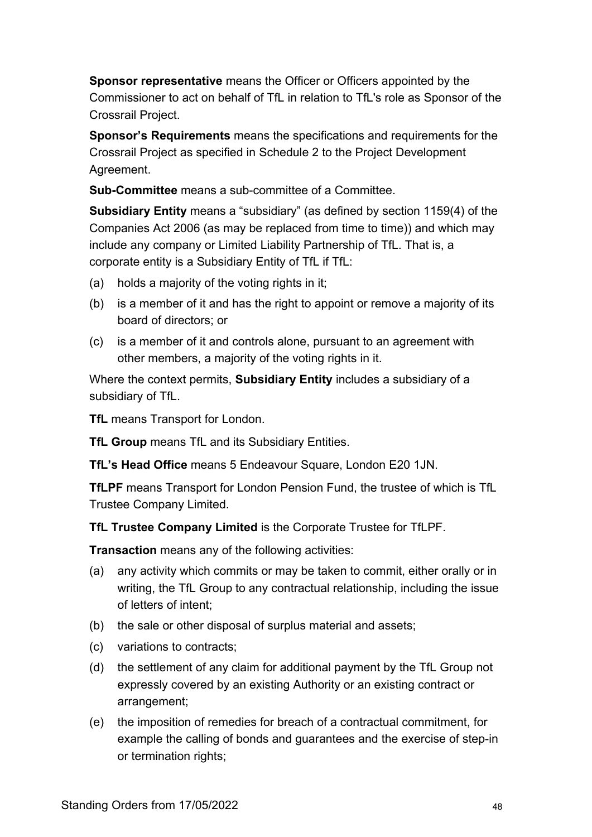**Sponsor representative** means the Officer or Officers appointed by the Commissioner to act on behalf of TfL in relation to TfL's role as Sponsor of the Crossrail Project.

**Sponsor's Requirements** means the specifications and requirements for the Crossrail Project as specified in Schedule 2 to the Project Development Agreement.

**Sub-Committee** means a sub-committee of a Committee.

**Subsidiary Entity** means a "subsidiary" (as defined by section 1159(4) of the Companies Act 2006 (as may be replaced from time to time)) and which may include any company or Limited Liability Partnership of TfL. That is, a corporate entity is a Subsidiary Entity of TfL if TfL:

- (a) holds a majority of the voting rights in it;
- (b) is a member of it and has the right to appoint or remove a majority of its board of directors; or
- (c) is a member of it and controls alone, pursuant to an agreement with other members, a majority of the voting rights in it.

Where the context permits, **Subsidiary Entity** includes a subsidiary of a subsidiary of TfL.

**TfL** means Transport for London.

**TfL Group** means TfL and its Subsidiary Entities.

**TfL's Head Office** means 5 Endeavour Square, London E20 1JN.

**TfLPF** means Transport for London Pension Fund, the trustee of which is TfL Trustee Company Limited.

**TfL Trustee Company Limited** is the Corporate Trustee for TfLPF.

**Transaction** means any of the following activities:

- (a) any activity which commits or may be taken to commit, either orally or in writing, the TfL Group to any contractual relationship, including the issue of letters of intent;
- (b) the sale or other disposal of surplus material and assets;
- (c) variations to contracts;
- (d) the settlement of any claim for additional payment by the TfL Group not expressly covered by an existing Authority or an existing contract or arrangement;
- (e) the imposition of remedies for breach of a contractual commitment, for example the calling of bonds and guarantees and the exercise of step-in or termination rights;